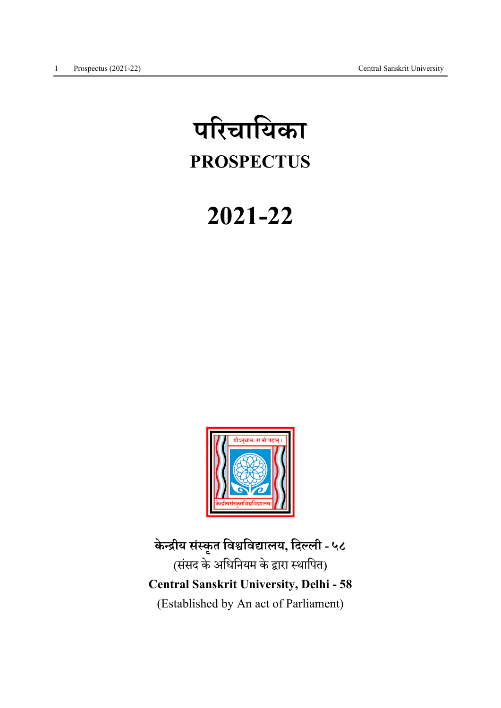# परचाियका PROSPECTUS

# 2021-22



केन्द्रीय संस्कृत विश्वविद्यालय, दिल्ली - ५८ (संसद के अधिनियम के द्वारा स्थापित) Central Sanskrit University, Delhi - 58 (Established by An act of Parliament)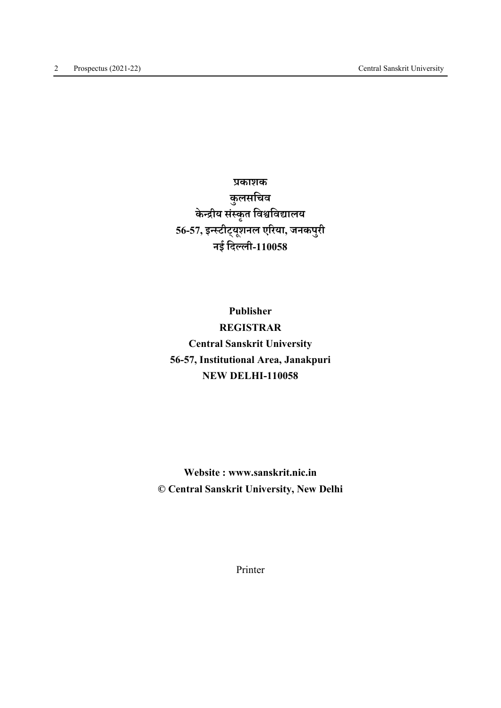काशक कुलसिचव केन्द्रीय संस्कृत विश्वविद्यालय 56-57,इटीट् यू शनल एरया, जनकपुरी नई िदली-110058

Publisher REGISTRAR Central Sanskrit University 56-57, Institutional Area, Janakpuri NEW DELHI-110058

Website : www.sanskrit.nic.in © Central Sanskrit University, New Delhi

Printer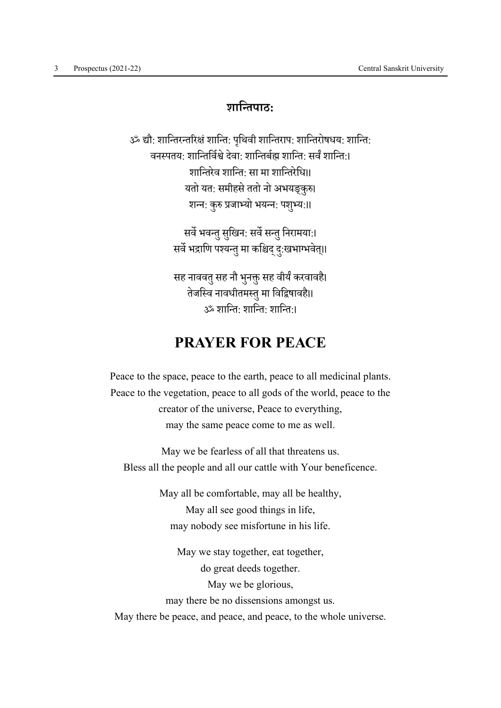# शाितपाठ:

ॐ ौ: शाितरतरंशाित: पि ृथवी शाितराप: शाितरोषधय: शाित: वनस्पतयः शान्तिर्विश्वे देवाः शान्तिर्बद्य शान्तिः सर्वं शान्तिः। शाितरेव शाित: सा मा शाितरेिध।। यतो यत: समीहसे ततो नो अभयङकरु। शन्न: कुरु प्रजाभ्यो भयन्न: पशुभ्य:॥

> सर्वे भवन्तु सुखिन: सर्वे सन्तु निरामया:। सर्वे भद्राणि पश्यन्तु मा कश्चिद् दु:खभाग्भवेत्॥

> सह नाववतु सह नौ भुनक्तु सह वीर्यं करवावहै। तेजस्वि नावधीतमस्तु मा विद्विषावहै॥  $\ddot{\mathbf{x}}$ ं शान्ति $\cdot$  शान्ति $\ddot{\cdot}$ ।

# PRAYER FOR PEACE

Peace to the space, peace to the earth, peace to all medicinal plants. Peace to the vegetation, peace to all gods of the world, peace to the creator of the universe, Peace to everything, may the same peace come to me as well.

May we be fearless of all that threatens us. Bless all the people and all our cattle with Your beneficence.

> May all be comfortable, may all be healthy, May all see good things in life, may nobody see misfortune in his life.

May we stay together, eat together, do great deeds together. May we be glorious, may there be no dissensions amongst us. May there be peace, and peace, and peace, to the whole universe.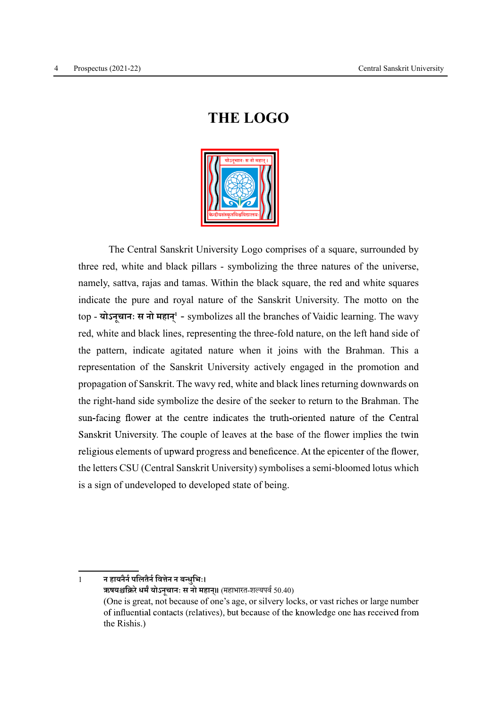# THE LOGO



 The Central Sanskrit University Logo comprises of a square, surrounded by three red, white and black pillars - symbolizing the three natures of the universe, namely, sattva, rajas and tamas. Within the black square, the red and white squares indicate the pure and royal nature of the Sanskrit University. The motto on the top - योऽनूचानः स नो महान्<sup>1</sup> - symbolizes all the branches of Vaidic learning. The wavy red, white and black lines, representing the three-fold nature, on the left hand side of the pattern, indicate agitated nature when it joins with the Brahman. This a representation of the Sanskrit University actively engaged in the promotion and propagation of Sanskrit. The wavy red, white and black lines returning downwards on the right-hand side symbolize the desire of the seeker to return to the Brahman. The sun-facing flower at the centre indicates the truth-oriented nature of the Central Sanskrit University. The couple of leaves at the base of the flower implies the twin religious elements of upward progress and beneficence. At the epicenter of the flower, the letters CSU (Central Sanskrit University) symbolises a semi-bloomed lotus which is a sign of undeveloped to developed state of being.

1 न हायनैर्न पलितैर्न वित्तेन न बन्धभिः। ऋषयश्चक्रिरे धर्मं योऽनूचानः स नो महान्॥ (महाभारत-शल्यपर्व 50.40) (One is great, not because of one's age, or silvery locks, or vast riches or large number of influential contacts (relatives), but because of the knowledge one has received from the Rishis.)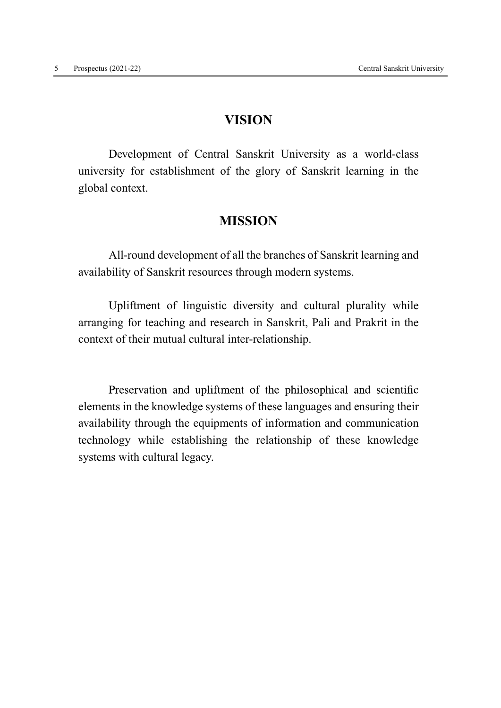### VISION

 Development of Central Sanskrit University as a world-class university for establishment of the glory of Sanskrit learning in the global context.

### **MISSION**

 All-round development of all the branches of Sanskrit learning and availability of Sanskrit resources through modern systems.

 Upliftment of linguistic diversity and cultural plurality while arranging for teaching and research in Sanskrit, Pali and Prakrit in the context of their mutual cultural inter-relationship.

Preservation and upliftment of the philosophical and scientific elements in the knowledge systems of these languages and ensuring their availability through the equipments of information and communication technology while establishing the relationship of these knowledge systems with cultural legacy.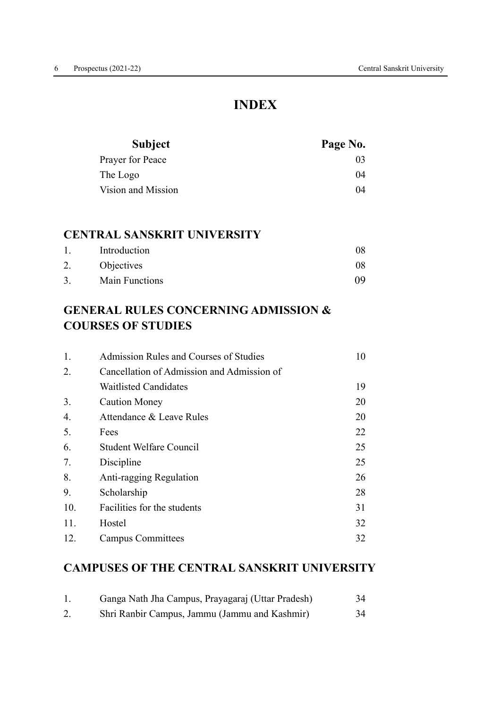# INDEX

| <b>Subject</b>     | Page No. |
|--------------------|----------|
| Prayer for Peace   | 03       |
| The Logo           | 04       |
| Vision and Mission | 04       |

### CENTRAL SANSKRIT UNIVERSITY

| $\mathbf{1}$ . | Introduction   |    |
|----------------|----------------|----|
| 2.             | Objectives     | 08 |
| $\mathcal{R}$  | Main Functions | ΩQ |

# GENERAL RULES CONCERNING ADMISSION & COURSES OF STUDIES

| Admission Rules and Courses of Studies     |    |  |
|--------------------------------------------|----|--|
| Cancellation of Admission and Admission of |    |  |
| <b>Waitlisted Candidates</b>               | 19 |  |
| <b>Caution Money</b>                       | 20 |  |
| Attendance & Leave Rules                   | 20 |  |
| Fees                                       | 22 |  |
| <b>Student Welfare Council</b>             | 25 |  |
| Discipline                                 | 25 |  |
| Anti-ragging Regulation                    | 26 |  |
| Scholarship                                | 28 |  |
| Facilities for the students                | 31 |  |
| Hostel                                     | 32 |  |
| <b>Campus Committees</b>                   | 32 |  |
|                                            |    |  |

# CAMPUSES OF THE CENTRAL SANSKRIT UNIVERSITY

|    | Ganga Nath Jha Campus, Prayagaraj (Uttar Pradesh) | 34 |
|----|---------------------------------------------------|----|
| Z. | Shri Ranbir Campus, Jammu (Jammu and Kashmir)     | 34 |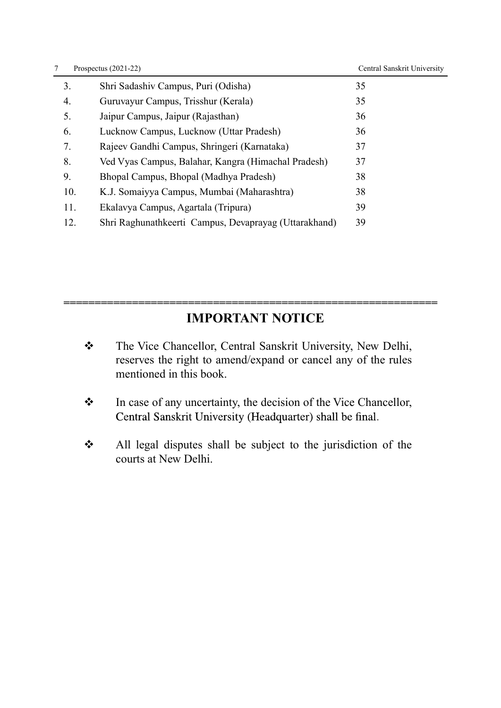| 7   | Prospectus $(2021-22)$                                | Central Sanskrit University |  |
|-----|-------------------------------------------------------|-----------------------------|--|
| 3.  | Shri Sadashiv Campus, Puri (Odisha)                   | 35                          |  |
| 4.  | Guruvayur Campus, Trisshur (Kerala)                   | 35                          |  |
| 5.  | Jaipur Campus, Jaipur (Rajasthan)                     | 36                          |  |
| 6.  | Lucknow Campus, Lucknow (Uttar Pradesh)               | 36                          |  |
| 7.  | Rajeev Gandhi Campus, Shringeri (Karnataka)           | 37                          |  |
| 8.  | Ved Vyas Campus, Balahar, Kangra (Himachal Pradesh)   | 37                          |  |
| 9.  | Bhopal Campus, Bhopal (Madhya Pradesh)                | 38                          |  |
| 10. | K.J. Somaiyya Campus, Mumbai (Maharashtra)            | 38                          |  |
| 11. | Ekalavya Campus, Agartala (Tripura)                   | 39                          |  |
| 12. | Shri Raghunathkeerti Campus, Devaprayag (Uttarakhand) | 39                          |  |

# IMPORTANT NOTICE

============================================================

- \* The Vice Chancellor, Central Sanskrit University, New Delhi, reserves the right to amend/expand or cancel any of the rules mentioned in this book.
- \* In case of any uncertainty, the decision of the Vice Chancellor, Central Sanskrit University (Headquarter) shall be final.
- \* All legal disputes shall be subject to the jurisdiction of the courts at New Delhi.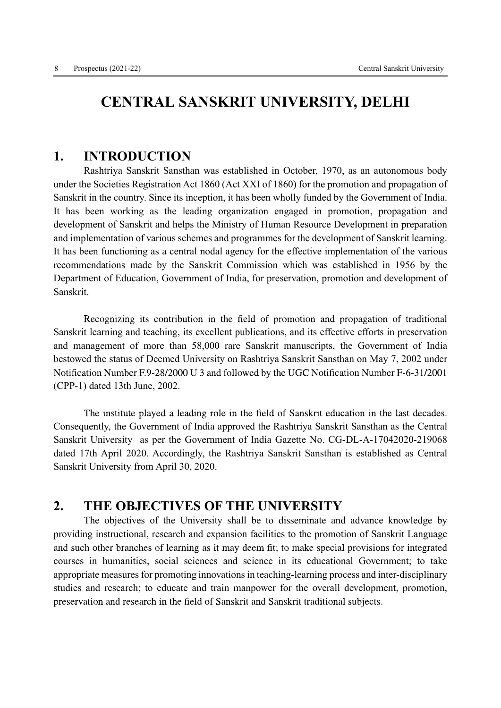# CENTRAL SANSKRIT UNIVERSITY, DELHI

### 1. INTRODUCTION

 Rashtriya Sanskrit Sansthan was established in October, 1970, as an autonomous body under the Societies Registration Act 1860 (Act XXI of 1860) for the promotion and propagation of Sanskrit in the country. Since its inception, it has been wholly funded by the Government of India. It has been working as the leading organization engaged in promotion, propagation and development of Sanskrit and helps the Ministry of Human Resource Development in preparation and implementation of various schemes and programmes for the development of Sanskrit learning. It has been functioning as a central nodal agency for the effective implementation of the various recommendations made by the Sanskrit Commission which was established in 1956 by the Department of Education, Government of India, for preservation, promotion and development of Sanskrit.

Recognizing its contribution in the field of promotion and propagation of traditional Sanskrit learning and teaching, its excellent publications, and its effective efforts in preservation and management of more than 58,000 rare Sanskrit manuscripts, the Government of India bestowed the status of Deemed University on Rashtriya Sanskrit Sansthan on May 7, 2002 under Notification Number F.9-28/2000 U 3 and followed by the UGC Notification Number F-6-31/2001 (CPP-1) dated 13th June, 2002.

The institute played a leading role in the field of Sanskrit education in the last decades. Consequently, the Government of India approved the Rashtriya Sanskrit Sansthan as the Central Sanskrit University as per the Government of India Gazette No. CG-DL-A-17042020-219068 dated 17th April 2020. Accordingly, the Rashtriya Sanskrit Sansthan is established as Central Sanskrit University from April 30, 2020.

### 2. THE OBJECTIVES OF THE UNIVERSITY

 The objectives of the University shall be to disseminate and advance knowledge by providing instructional, research and expansion facilities to the promotion of Sanskrit Language and such other branches of learning as it may deem fit; to make special provisions for integrated courses in humanities, social sciences and science in its educational Government; to take appropriate measures for promoting innovations in teaching-learning process and inter-disciplinary studies and research; to educate and train manpower for the overall development, promotion, preservation and research in the field of Sanskrit and Sanskrit traditional subjects.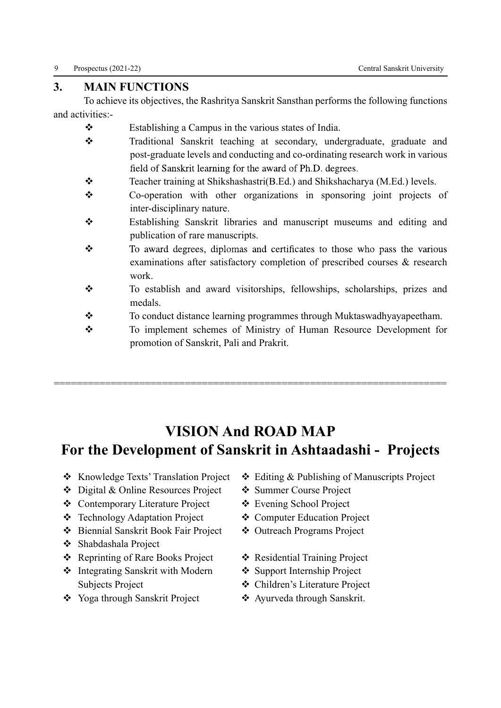### 3. MAIN FUNCTIONS

 To achieve its objectives, the Rashritya Sanskrit Sansthan performs the following functions and activities:-

- $\mathbf{\hat{\cdot}}$  Establishing a Campus in the various states of India.
- \* Traditional Sanskrit teaching at secondary, undergraduate, graduate and post-graduate levels and conducting and co-ordinating research work in various field of Sanskrit learning for the award of Ph.D. degrees.
- $\triangle$  Teacher training at Shikshashastri(B.Ed.) and Shikshacharya (M.Ed.) levels.
- v Co-operation with other organizations in sponsoring joint projects of inter-disciplinary nature.
- v Establishing Sanskrit libraries and manuscript museums and editing and publication of rare manuscripts.
- $\mathbf{v}^*_{\bullet}$ To award degrees, diplomas and certificates to those who pass the various examinations after satisfactory completion of prescribed courses & research work.
- v To establish and award visitorships, fellowships, scholarships, prizes and medals.
- \* To conduct distance learning programmes through Muktaswadhyayapeetham.
- \* To implement schemes of Ministry of Human Resource Development for promotion of Sanskrit, Pali and Prakrit.

# VISION And ROAD MAP For the Development of Sanskrit in Ashtaadashi - Projects

=====================================================================

- 
- ◆ Digital & Online Resources Project → Summer Course Project
- ◆ Contemporary Literature Project → ◆ Evening School Project
- ◆ Technology Adaptation Project → ◆ Computer Education Project
- ◆ Biennial Sanskrit Book Fair Project → Outreach Programs Project
- v Shabdashala Project
- **Example 3** Reprinting of Rare Books Project  $\bullet$  Residential Training Project
- Integrating Sanskrit with Modern • Support Internship Project Subjects Project  $\Diamond$  Children's Literature Project
- ◆ Yoga through Sanskrit Project → ◆ Ayurveda through Sanskrit.
- ◆ Knowledge Texts' Translation Project → Editing & Publishing of Manuscripts Project
	-
	-
	-
	-
	-
	-
	-
	-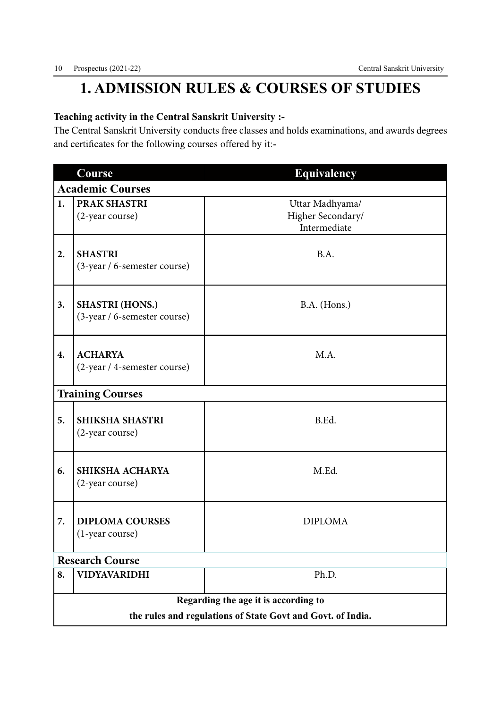# 1. ADMISSION RULES & COURSES OF STUDIES

### Teaching activity in the Central Sanskrit University :-

The Central Sanskrit University conducts free classes and holds examinations, and awards degrees and certificates for the following courses offered by it:-

|    | Course                                                      | <b>Equivalency</b>                                   |  |  |  |  |
|----|-------------------------------------------------------------|------------------------------------------------------|--|--|--|--|
|    | <b>Academic Courses</b>                                     |                                                      |  |  |  |  |
| 1. | <b>PRAK SHASTRI</b><br>(2-year course)                      | Uttar Madhyama/<br>Higher Secondary/<br>Intermediate |  |  |  |  |
| 2. | <b>SHASTRI</b><br>(3-year / 6-semester course)              | B.A.                                                 |  |  |  |  |
| 3. | <b>SHASTRI (HONS.)</b><br>(3-year / 6-semester course)      | B.A. (Hons.)                                         |  |  |  |  |
| 4. | <b>ACHARYA</b><br>(2-year / 4-semester course)              | M.A.                                                 |  |  |  |  |
|    | <b>Training Courses</b>                                     |                                                      |  |  |  |  |
| 5. | <b>SHIKSHA SHASTRI</b><br>(2-year course)                   | B.Ed.                                                |  |  |  |  |
| 6. | SHIKSHA ACHARYA<br>(2-year course)                          | M.Ed.                                                |  |  |  |  |
| 7. | <b>DIPLOMA COURSES</b><br>(1-year course)                   | <b>DIPLOMA</b>                                       |  |  |  |  |
|    | <b>Research Course</b>                                      |                                                      |  |  |  |  |
| 8. | <b>VIDYAVARIDHI</b>                                         | Ph.D.                                                |  |  |  |  |
|    | Regarding the age it is according to                        |                                                      |  |  |  |  |
|    | the rules and regulations of State Govt and Govt. of India. |                                                      |  |  |  |  |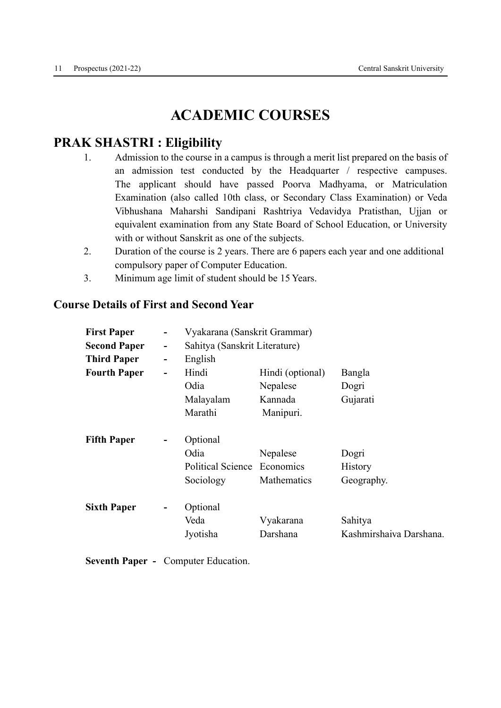# ACADEMIC COURSES

# PRAK SHASTRI : Eligibility

- 1. Admission to the course in a campus is through a merit list prepared on the basis of an admission test conducted by the Headquarter / respective campuses. The applicant should have passed Poorva Madhyama, or Matriculation Examination (also called 10th class, or Secondary Class Examination) or Veda Vibhushana Maharshi Sandipani Rashtriya Vedavidya Pratisthan, Ujjan or equivalent examination from any State Board of School Education, or University with or without Sanskrit as one of the subjects.
- 2. Duration of the course is 2 years. There are 6 papers each year and one additional compulsory paper of Computer Education.
- 3. Minimum age limit of student should be 15 Years.

### Course Details of First and Second Year

| <b>First Paper</b>  | -                            | Vyakarana (Sanskrit Grammar)  |                  |                         |  |  |
|---------------------|------------------------------|-------------------------------|------------------|-------------------------|--|--|
| <b>Second Paper</b> | $\overline{\phantom{a}}$     | Sahitya (Sanskrit Literature) |                  |                         |  |  |
| <b>Third Paper</b>  | $\overline{\phantom{a}}$     | English                       |                  |                         |  |  |
| <b>Fourth Paper</b> | $\qquad \qquad \blacksquare$ | Hindi                         | Hindi (optional) | Bangla                  |  |  |
|                     |                              | Odia                          | Nepalese         | Dogri                   |  |  |
|                     |                              | Malayalam                     | Kannada          | Gujarati                |  |  |
|                     |                              | Marathi                       | Manipuri.        |                         |  |  |
| <b>Fifth Paper</b>  | $\overline{\phantom{a}}$     | Optional                      |                  |                         |  |  |
|                     |                              | Odia                          | Nepalese         | Dogri                   |  |  |
|                     |                              | <b>Political Science</b>      | Economics        | History                 |  |  |
|                     |                              | Sociology                     | Mathematics      | Geography.              |  |  |
| <b>Sixth Paper</b>  | -                            | Optional                      |                  |                         |  |  |
|                     |                              | Veda                          | Vyakarana        | Sahitya                 |  |  |
|                     |                              | Jyotisha                      | Darshana         | Kashmirshaiva Darshana. |  |  |
|                     |                              |                               |                  |                         |  |  |

Seventh Paper - Computer Education.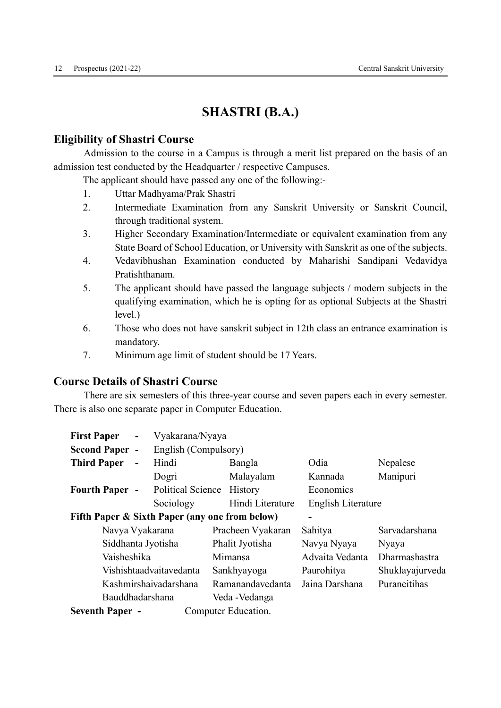# SHASTRI (B.A.)

#### Eligibility of Shastri Course

 Admission to the course in a Campus is through a merit list prepared on the basis of an admission test conducted by the Headquarter / respective Campuses.

The applicant should have passed any one of the following:-

- 1. Uttar Madhyama/Prak Shastri
- 2. Intermediate Examination from any Sanskrit University or Sanskrit Council, through traditional system.
- 3. Higher Secondary Examination/Intermediate or equivalent examination from any State Board of School Education, or University with Sanskrit as one of the subjects.
- 4. Vedavibhushan Examination conducted by Maharishi Sandipani Vedavidya Pratishthanam.
- 5. The applicant should have passed the language subjects / modern subjects in the qualifying examination, which he is opting for as optional Subjects at the Shastri level.)
- 6. Those who does not have sanskrit subject in 12th class an entrance examination is mandatory.
- 7. Minimum age limit of student should be 17 Years.

### Course Details of Shastri Course

 There are six semesters of this three-year course and seven papers each in every semester. There is also one separate paper in Computer Education.

| <b>First Paper</b>                             | $\overline{\phantom{a}}$ | Vyakarana/Nyaya         |         |                     |                          |                 |
|------------------------------------------------|--------------------------|-------------------------|---------|---------------------|--------------------------|-----------------|
| <b>Second Paper -</b>                          |                          | English (Compulsory)    |         |                     |                          |                 |
| <b>Third Paper</b>                             | $\qquad \qquad -$        | Hindi                   |         | Bangla              | Odia                     | Nepalese        |
|                                                |                          | Dogri                   |         | Malayalam           | Kannada                  | Manipuri        |
| <b>Fourth Paper -</b>                          |                          | Political Science       |         | History             | Economics                |                 |
|                                                |                          | Sociology               |         | Hindi Literature    | English Literature       |                 |
| Fifth Paper & Sixth Paper (any one from below) |                          |                         |         |                     | $\overline{\phantom{a}}$ |                 |
| Navya Vyakarana                                |                          |                         |         | Pracheen Vyakaran   | Sahitya                  | Sarvadarshana   |
| Siddhanta Jyotisha                             |                          |                         |         | Phalit Jyotisha     | Navya Nyaya              | Nyaya           |
| Vaisheshika                                    |                          |                         | Mimansa |                     | Advaita Vedanta          | Dharmashastra   |
|                                                |                          | Vishishtaadvaitavedanta |         | Sankhyayoga         | Paurohitya               | Shuklayajurveda |
|                                                |                          | Kashmirshaivadarshana   |         | Ramanandavedanta    | Jaina Darshana           | Puraneitihas    |
| Bauddhadarshana                                |                          |                         |         | Veda - Vedanga      |                          |                 |
| <b>Seventh Paper -</b>                         |                          |                         |         | Computer Education. |                          |                 |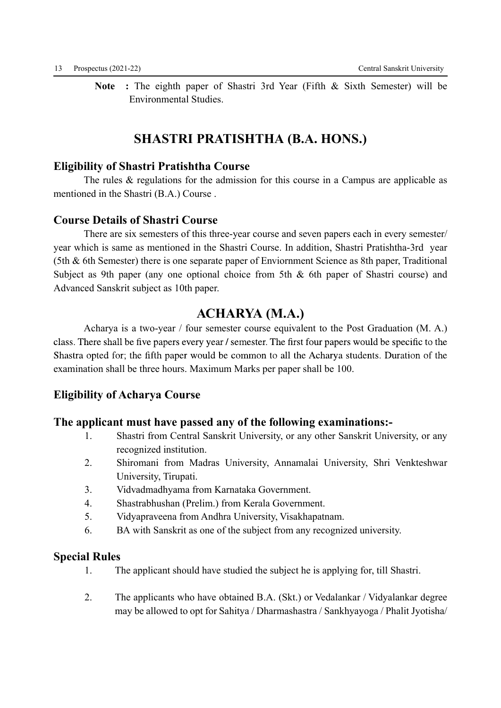Note : The eighth paper of Shastri 3rd Year (Fifth & Sixth Semester) will be Environmental Studies.

# SHASTRI PRATISHTHA (B.A. HONS.)

### Eligibility of Shastri Pratishtha Course

The rules & regulations for the admission for this course in a Campus are applicable as mentioned in the Shastri (B.A.) Course .

### Course Details of Shastri Course

 There are six semesters of this three-year course and seven papers each in every semester/ year which is same as mentioned in the Shastri Course. In addition, Shastri Pratishtha-3rd year (5th & 6th Semester) there is one separate paper of Enviornment Science as 8th paper, Traditional Subject as 9th paper (any one optional choice from 5th & 6th paper of Shastri course) and Advanced Sanskrit subject as 10th paper.

### ACHARYA (M.A.)

 Acharya is a two-year / four semester course equivalent to the Post Graduation (M. A.) class. There shall be five papers every year / semester. The first four papers would be specific to the Shastra opted for; the fifth paper would be common to all the Acharya students. Duration of the examination shall be three hours. Maximum Marks per paper shall be 100.

### Eligibility of Acharya Course

### The applicant must have passed any of the following examinations:-

- 1. Shastri from Central Sanskrit University, or any other Sanskrit University, or any recognized institution.
- 2. Shiromani from Madras University, Annamalai University, Shri Venkteshwar University, Tirupati.
- 3. Vidvadmadhyama from Karnataka Government.
- 4. Shastrabhushan (Prelim.) from Kerala Government.
- 5. Vidyapraveena from Andhra University, Visakhapatnam.
- 6. BA with Sanskrit as one of the subject from any recognized university.

### Special Rules

- 1. The applicant should have studied the subject he is applying for, till Shastri.
- 2. The applicants who have obtained B.A. (Skt.) or Vedalankar / Vidyalankar degree may be allowed to opt for Sahitya / Dharmashastra / Sankhyayoga / Phalit Jyotisha/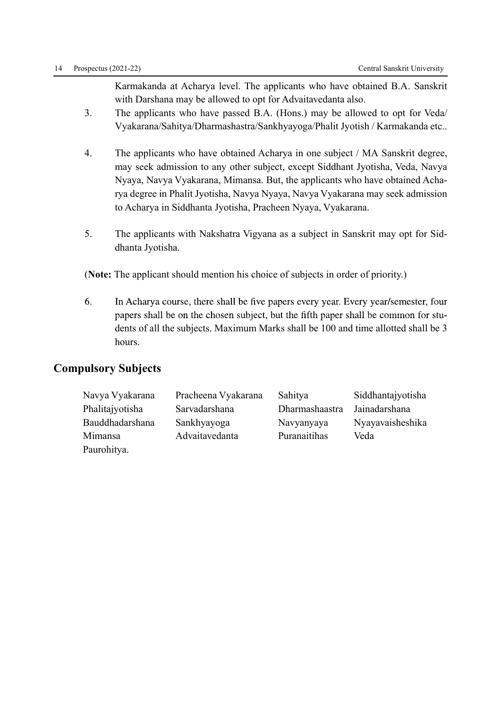Karmakanda at Acharya level. The applicants who have obtained B.A. Sanskrit with Darshana may be allowed to opt for Advaitavedanta also.

- 3. The applicants who have passed B.A. (Hons.) may be allowed to opt for Veda/ Vyakarana/Sahitya/Dharmashastra/Sankhyayoga/Phalit Jyotish / Karmakanda etc..
- 4. The applicants who have obtained Acharya in one subject / MA Sanskrit degree, may seek admission to any other subject, except Siddhant Jyotisha, Veda, Navya Nyaya, Navya Vyakarana, Mimansa. But, the applicants who have obtained Acharya degree in Phalit Jyotisha, Navya Nyaya, Navya Vyakarana may seek admission to Acharya in Siddhanta Jyotisha, Pracheen Nyaya, Vyakarana.
- 5. The applicants with Nakshatra Vigyana as a subject in Sanskrit may opt for Siddhanta Jyotisha.

(Note: The applicant should mention his choice of subjects in order of priority.)

6. In Acharya course, there shall be five papers every year. Every year/semester, four papers shall be on the chosen subject, but the fifth paper shall be common for students of all the subjects. Maximum Marks shall be 100 and time allotted shall be 3 hours.

### Compulsory Subjects

| Navya Vyakarana | Pracheena Vyakarana | Sahitya        | Siddhantajyotisha |
|-----------------|---------------------|----------------|-------------------|
| Phalitajyotisha | Sarvadarshana       | Dharmashaastra | Jainadarshana     |
| Bauddhadarshana | Sankhyayoga         | Navyanyaya     | Nyayavaisheshika  |
| Mimansa         | Advaitavedanta      | Puranaitihas   | Veda              |
| Paurohitya.     |                     |                |                   |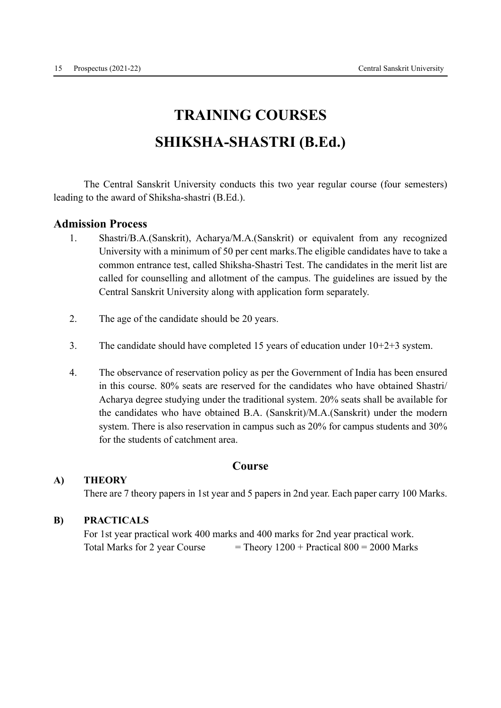# TRAINING COURSES SHIKSHA-SHASTRI (B.Ed.)

 The Central Sanskrit University conducts this two year regular course (four semesters) leading to the award of Shiksha-shastri (B.Ed.).

#### Admission Process

- 1. Shastri/B.A.(Sanskrit), Acharya/M.A.(Sanskrit) or equivalent from any recognized University with a minimum of 50 per cent marks.The eligible candidates have to take a common entrance test, called Shiksha-Shastri Test. The candidates in the merit list are called for counselling and allotment of the campus. The guidelines are issued by the Central Sanskrit University along with application form separately.
- 2. The age of the candidate should be 20 years.
- 3. The candidate should have completed 15 years of education under 10+2+3 system.
- 4. The observance of reservation policy as per the Government of India has been ensured in this course. 80% seats are reserved for the candidates who have obtained Shastri/ Acharya degree studying under the traditional system. 20% seats shall be available for the candidates who have obtained B.A. (Sanskrit)/M.A.(Sanskrit) under the modern system. There is also reservation in campus such as 20% for campus students and 30% for the students of catchment area.

### Course

#### A) THEORY

There are 7 theory papers in 1st year and 5 papers in 2nd year. Each paper carry 100 Marks.

#### B) PRACTICALS

 For 1st year practical work 400 marks and 400 marks for 2nd year practical work. Total Marks for 2 year Course  $=$  Theory 1200 + Practical 800 = 2000 Marks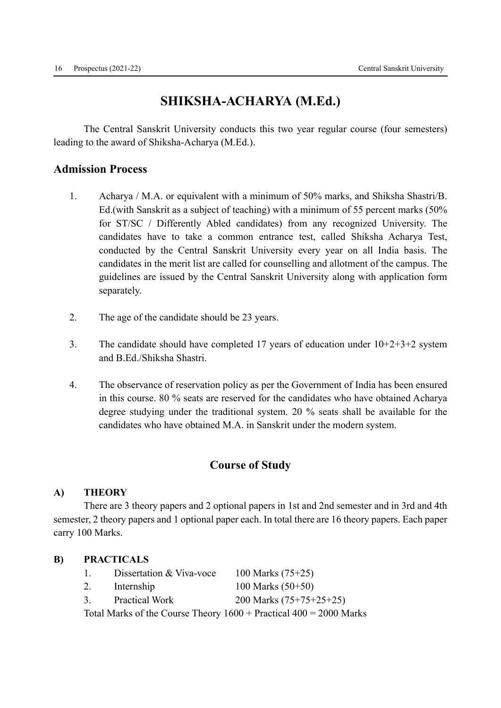# SHIKSHA-ACHARYA (M.Ed.)

 The Central Sanskrit University conducts this two year regular course (four semesters) leading to the award of Shiksha-Acharya (M.Ed.).

### Admission Process

- 1. Acharya / M.A. or equivalent with a minimum of 50% marks, and Shiksha Shastri/B. Ed.(with Sanskrit as a subject of teaching) with a minimum of 55 percent marks (50% for ST/SC / Differently Abled candidates) from any recognized University. The candidates have to take a common entrance test, called Shiksha Acharya Test, conducted by the Central Sanskrit University every year on all India basis. The candidates in the merit list are called for counselling and allotment of the campus. The guidelines are issued by the Central Sanskrit University along with application form separately.
- 2. The age of the candidate should be 23 years.
- 3. The candidate should have completed 17 years of education under  $10+2+3+2$  system and B.Ed./Shiksha Shastri.
- 4. The observance of reservation policy as per the Government of India has been ensured in this course. 80 % seats are reserved for the candidates who have obtained Acharya degree studying under the traditional system. 20 % seats shall be available for the candidates who have obtained M.A. in Sanskrit under the modern system.

### Course of Study

#### A) THEORY

 There are 3 theory papers and 2 optional papers in 1st and 2nd semester and in 3rd and 4th semester, 2 theory papers and 1 optional paper each. In total there are 16 theory papers. Each paper carry 100 Marks.

#### B) PRACTICALS

| $\mathbf{L}$  | Dissertation & Viva-voce | 100 Marks $(75+25)$                                                                  |
|---------------|--------------------------|--------------------------------------------------------------------------------------|
| 2.            | Internship               | 100 Marks $(50+50)$                                                                  |
| $\mathcal{R}$ | <b>Practical Work</b>    | 200 Marks $(75+75+25+25)$                                                            |
|               |                          | Total Marks of the Course Theory $1600 + \text{Practical } 400 = 2000 \text{ Marks}$ |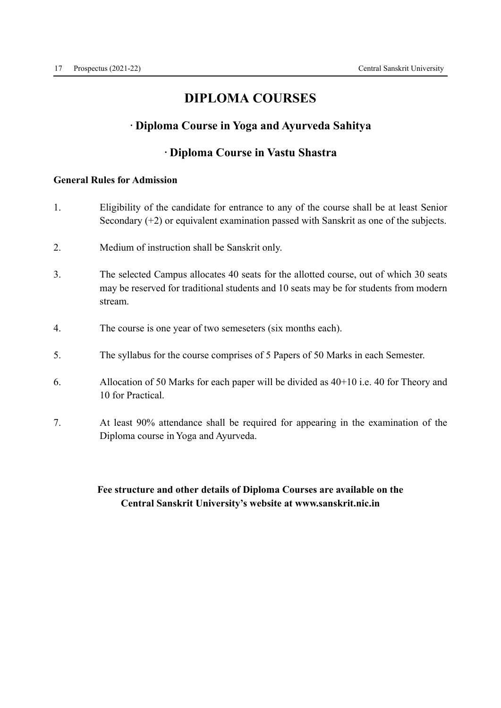# DIPLOMA COURSES

### · Diploma Course in Yoga and Ayurveda Sahitya

### · Diploma Course in Vastu Shastra

#### General Rules for Admission

- 1. Eligibility of the candidate for entrance to any of the course shall be at least Senior Secondary (+2) or equivalent examination passed with Sanskrit as one of the subjects.
- 2. Medium of instruction shall be Sanskrit only.
- 3. The selected Campus allocates 40 seats for the allotted course, out of which 30 seats may be reserved for traditional students and 10 seats may be for students from modern stream.
- 4. The course is one year of two semeseters (six months each).
- 5. The syllabus for the course comprises of 5 Papers of 50 Marks in each Semester.
- 6. Allocation of 50 Marks for each paper will be divided as 40+10 i.e. 40 for Theory and 10 for Practical.
- 7. At least 90% attendance shall be required for appearing in the examination of the Diploma course in Yoga and Ayurveda.

### Fee structure and other details of Diploma Courses are available on the Central Sanskrit University's website at www.sanskrit.nic.in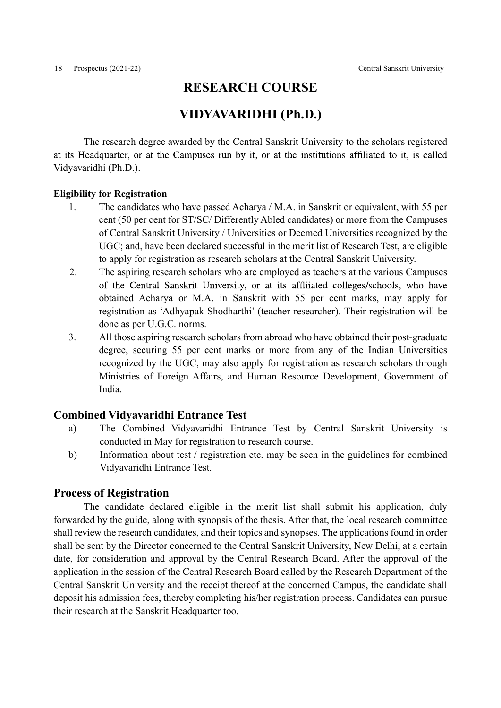### RESEARCH COURSE

# VIDYAVARIDHI (Ph.D.)

 The research degree awarded by the Central Sanskrit University to the scholars registered at its Headquarter, or at the Campuses run by it, or at the institutions affiliated to it, is called Vidyavaridhi (Ph.D.).

#### Eligibility for Registration

- 1. The candidates who have passed Acharya / M.A. in Sanskrit or equivalent, with 55 per cent (50 per cent for ST/SC/ Differently Abled candidates) or more from the Campuses of Central Sanskrit University / Universities or Deemed Universities recognized by the UGC; and, have been declared successful in the merit list of Research Test, are eligible to apply for registration as research scholars at the Central Sanskrit University.
- .2. The aspiring research scholars who are employed as teachers at the various Campuses of the Central Sanskrit University, or at its affliiated colleges/schools, who have obtained Acharya or M.A. in Sanskrit with 55 per cent marks, may apply for registration as 'Adhyapak Shodharthi' (teacher researcher). Their registration will be done as per U.G.C. norms.
- 3. All those aspiring research scholars from abroad who have obtained their post-graduate degree, securing 55 per cent marks or more from any of the Indian Universities recognized by the UGC, may also apply for registration as research scholars through Ministries of Foreign Affairs, and Human Resource Development, Government of India.

#### Combined Vidyavaridhi Entrance Test

- a) The Combined Vidyavaridhi Entrance Test by Central Sanskrit University is conducted in May for registration to research course.
- b) Information about test / registration etc. may be seen in the guidelines for combined Vidyavaridhi Entrance Test.

#### Process of Registration

 The candidate declared eligible in the merit list shall submit his application, duly forwarded by the guide, along with synopsis of the thesis. After that, the local research committee shall review the research candidates, and their topics and synopses. The applications found in order shall be sent by the Director concerned to the Central Sanskrit University, New Delhi, at a certain date, for consideration and approval by the Central Research Board. After the approval of the application in the session of the Central Research Board called by the Research Department of the Central Sanskrit University and the receipt thereof at the concerned Campus, the candidate shall deposit his admission fees, thereby completing his/her registration process. Candidates can pursue their research at the Sanskrit Headquarter too.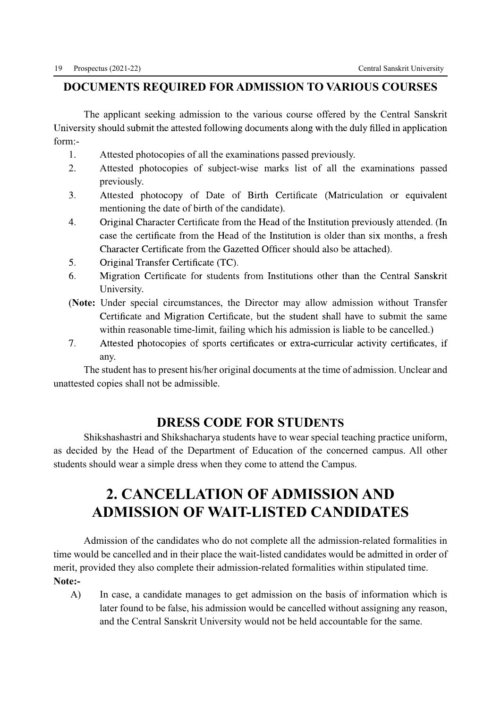### DOCUMENTS REQUIRED FOR ADMISSION TO VARIOUS COURSES

 The applicant seeking admission to the various course offered by the Central Sanskrit University should submit the attested following documents along with the duly filled in application form:-

- 1. Attested photocopies of all the examinations passed previously.
- 2. Attested photocopies of subject-wise marks list of all the examinations passed previously.
- $3.$ Attested photocopy of Date of Birth Certificate (Matriculation or equivalent mentioning the date of birth of the candidate).
- Original Character Certificate from the Head of the Institution previously attended. (In  $\overline{4}$ . case the certificate from the Head of the Institution is older than six months, a fresh Character Certificate from the Gazetted Officer should also be attached).
- $5<sub>1</sub>$ Original Transfer Certificate (TC).
- 6. Migration Certificate for students from Institutions other than the Central Sanskrit University.
- (Note: Under special circumstances, the Director may allow admission without Transfer Certificate and Migration Certificate, but the student shall have to submit the same within reasonable time-limit, failing which his admission is liable to be cancelled.)
- $7.$ Attested photocopies of sports certificates or extra-curricular activity certificates, if any.

 The student has to present his/her original documents at the time of admission. Unclear and unattested copies shall not be admissible.

## DRESS CODE FOR STUDENTS

 Shikshashastri and Shikshacharya students have to wear special teaching practice uniform, as decided by the Head of the Department of Education of the concerned campus. All other students should wear a simple dress when they come to attend the Campus.

# 2. CANCELLATION OF ADMISSION AND ADMISSION OF WAIT-LISTED CANDIDATES

 Admission of the candidates who do not complete all the admission-related formalities in time would be cancelled and in their place the wait-listed candidates would be admitted in order of merit, provided they also complete their admission-related formalities within stipulated time. Note:-

A) In case, a candidate manages to get admission on the basis of information which is later found to be false, his admission would be cancelled without assigning any reason, and the Central Sanskrit University would not be held accountable for the same.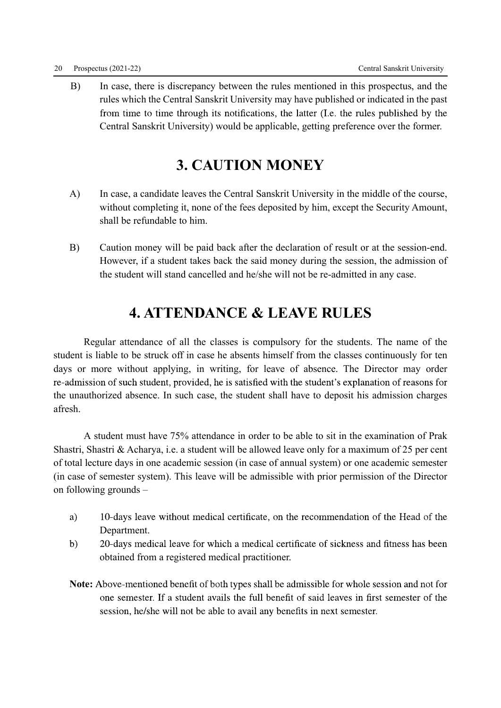B) In case, there is discrepancy between the rules mentioned in this prospectus, and the rules which the Central Sanskrit University may have published or indicated in the past from time to time through its notifications, the latter (I.e. the rules published by the Central Sanskrit University) would be applicable, getting preference over the former.

# 3. CAUTION MONEY

- A) In case, a candidate leaves the Central Sanskrit University in the middle of the course, without completing it, none of the fees deposited by him, except the Security Amount, shall be refundable to him.
- B) Caution money will be paid back after the declaration of result or at the session-end. However, if a student takes back the said money during the session, the admission of the student will stand cancelled and he/she will not be re-admitted in any case.

# 4. ATTENDANCE & LEAVE RULES

 Regular attendance of all the classes is compulsory for the students. The name of the student is liable to be struck off in case he absents himself from the classes continuously for ten days or more without applying, in writing, for leave of absence. The Director may order re-admission of such student, provided, he is satisfied with the student's explanation of reasons for the unauthorized absence. In such case, the student shall have to deposit his admission charges afresh.

 A student must have 75% attendance in order to be able to sit in the examination of Prak Shastri, Shastri & Acharya, i.e. a student will be allowed leave only for a maximum of 25 per cent of total lecture days in one academic session (in case of annual system) or one academic semester (in case of semester system). This leave will be admissible with prior permission of the Director on following grounds –

- 10-days leave without medical certificate, on the recommendation of the Head of the a) Department.
- 20-days medical leave for which a medical certificate of sickness and fitness has been  $b)$ obtained from a registered medical practitioner.
- Note: Above-mentioned benefit of both types shall be admissible for whole session and not for one semester. If a student avails the full benefit of said leaves in first semester of the session, he/she will not be able to avail any benefits in next semester.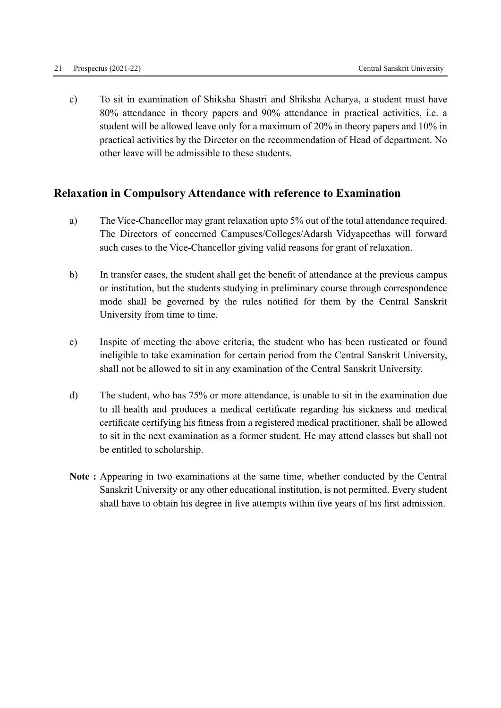c) To sit in examination of Shiksha Shastri and Shiksha Acharya, a student must have 80% attendance in theory papers and 90% attendance in practical activities, i.e. a student will be allowed leave only for a maximum of 20% in theory papers and 10% in practical activities by the Director on the recommendation of Head of department. No other leave will be admissible to these students.

### Relaxation in Compulsory Attendance with reference to Examination

- a) The Vice-Chancellor may grant relaxation upto 5% out of the total attendance required. The Directors of concerned Campuses/Colleges/Adarsh Vidyapeethas will forward such cases to the Vice-Chancellor giving valid reasons for grant of relaxation.
- In transfer cases, the student shall get the benefit of attendance at the previous campus  $b)$ or institution, but the students studying in preliminary course through correspondence mode shall be governed by the rules notified for them by the Central Sanskrit University from time to time.
- c) Inspite of meeting the above criteria, the student who has been rusticated or found ineligible to take examination for certain period from the Central Sanskrit University, shall not be allowed to sit in any examination of the Central Sanskrit University.
- d) The student, who has 75% or more attendance, is unable to sit in the examination due to ill-health and produces a medical certificate regarding his sickness and medical certificate certifying his fitness from a registered medical practitioner, shall be allowed to sit in the next examination as a former student. He may attend classes but shall not be entitled to scholarship.
- Note : Appearing in two examinations at the same time, whether conducted by the Central Sanskrit University or any other educational institution, is not permitted. Every student shall have to obtain his degree in five attempts within five years of his first admission.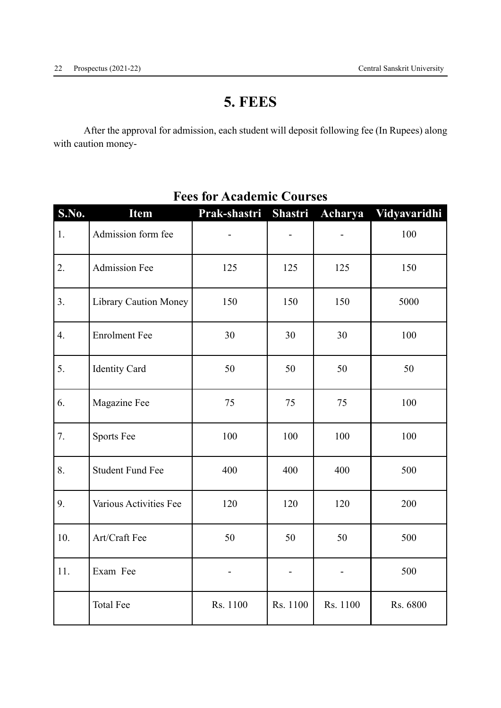# 5. FEES

 After the approval for admission, each student will deposit following fee (In Rupees) along with caution money-

| S.No. | <b>Item</b>                  | Prak-shastri | <b>Shastri</b> | Acharya  | Vidyavaridhi |
|-------|------------------------------|--------------|----------------|----------|--------------|
| 1.    | Admission form fee           |              |                |          | 100          |
| 2.    | <b>Admission Fee</b>         | 125          | 125            | 125      | 150          |
| 3.    | <b>Library Caution Money</b> | 150          | 150            | 150      | 5000         |
| 4.    | <b>Enrolment Fee</b>         | 30           | 30             | 30       | 100          |
| 5.    | <b>Identity Card</b>         | 50           | 50             | 50       | 50           |
| 6.    | Magazine Fee                 | 75           | 75             | 75       | 100          |
| 7.    | <b>Sports Fee</b>            | 100          | 100            | 100      | 100          |
| 8.    | <b>Student Fund Fee</b>      | 400          | 400            | 400      | 500          |
| 9.    | Various Activities Fee       | 120          | 120            | 120      | 200          |
| 10.   | Art/Craft Fee                | 50           | 50             | 50       | 500          |
| 11.   | Exam Fee                     |              |                |          | 500          |
|       | <b>Total Fee</b>             | Rs. 1100     | Rs. 1100       | Rs. 1100 | Rs. 6800     |

# Fees for Academic Courses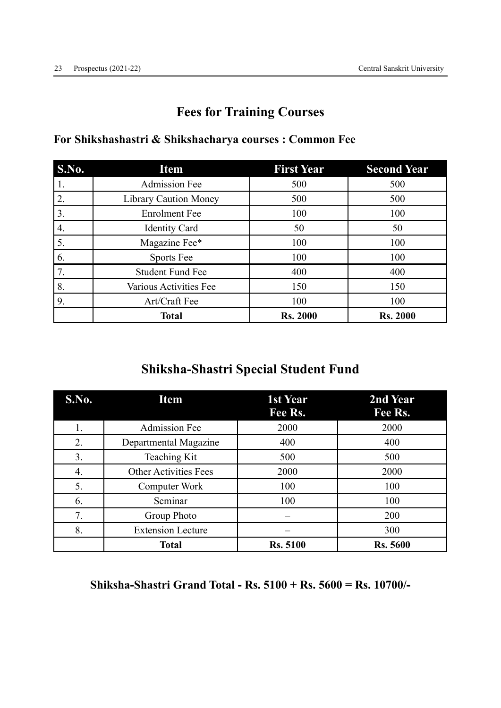# Fees for Training Courses

| S.No.            | <b>Item</b>                  | <b>First Year</b> | <b>Second Year</b> |
|------------------|------------------------------|-------------------|--------------------|
| 1.               | <b>Admission Fee</b>         | 500               | 500                |
| 2.               | <b>Library Caution Money</b> | 500               | 500                |
| 3.               | <b>Enrolment Fee</b>         | 100               | 100                |
| $\overline{4}$ . | <b>Identity Card</b>         | 50                | 50                 |
| 5.               | Magazine Fee*                | 100               | 100                |
| 6.               | Sports Fee                   | 100               | 100                |
| 7.               | <b>Student Fund Fee</b>      | 400               | 400                |
| 8.               | Various Activities Fee       | 150               | 150                |
| 9.               | Art/Craft Fee                | 100               | 100                |
|                  | <b>Total</b>                 | <b>Rs. 2000</b>   | <b>Rs. 2000</b>    |

# For Shikshashastri & Shikshacharya courses : Common Fee

# Shiksha-Shastri Special Student Fund

| <b>S.No.</b> | <b>Item</b>                  | 1st Year<br>Fee Rs. | 2nd Year<br>Fee Rs. |
|--------------|------------------------------|---------------------|---------------------|
| 1.           | <b>Admission Fee</b>         | 2000                | 2000                |
| 2.           | Departmental Magazine        | 400                 | 400                 |
| 3.           | Teaching Kit                 | 500                 | 500                 |
| 4.           | <b>Other Activities Fees</b> | 2000                | 2000                |
| 5.           | Computer Work                | 100                 | 100                 |
| 6.           | Seminar                      | 100                 | 100                 |
| 7.           | Group Photo                  |                     | 200                 |
| 8.           | <b>Extension Lecture</b>     |                     | 300                 |
|              | <b>Total</b>                 | <b>Rs. 5100</b>     | <b>Rs. 5600</b>     |

Shiksha-Shastri Grand Total - Rs. 5100 + Rs. 5600 = Rs. 10700/-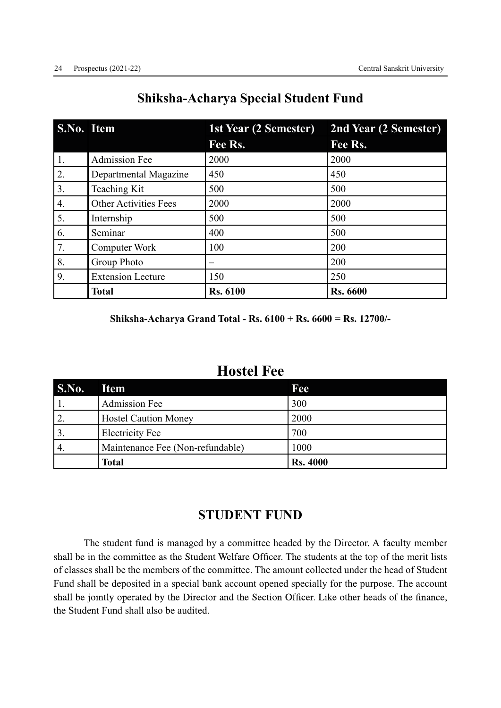| S.No. Item |                              | <b>1st Year (2 Semester)</b> | 2nd Year (2 Semester) |  |
|------------|------------------------------|------------------------------|-----------------------|--|
|            |                              | Fee Rs.                      | Fee Rs.               |  |
| 1.         | <b>Admission Fee</b>         | 2000                         | 2000                  |  |
| 2.         | Departmental Magazine        | 450                          | 450                   |  |
| 3.         | Teaching Kit                 | 500                          | 500                   |  |
| 4.         | <b>Other Activities Fees</b> | 2000                         | 2000                  |  |
| 5.         | Internship                   | 500                          | 500                   |  |
| 6.         | Seminar                      | 400                          | 500                   |  |
| 7.         | <b>Computer Work</b>         | 100                          | 200                   |  |
| 8.         | Group Photo                  |                              | 200                   |  |
| 9.         | <b>Extension Lecture</b>     | 150                          | 250                   |  |
|            | <b>Total</b>                 | <b>Rs. 6100</b>              | <b>Rs. 6600</b>       |  |

# Shiksha-Acharya Special Student Fund

Shiksha-Acharya Grand Total - Rs. 6100 + Rs. 6600 = Rs. 12700/-

# Hostel Fee

| S.No.            | <b>Item</b>                      | Fee             |
|------------------|----------------------------------|-----------------|
|                  | <b>Admission Fee</b>             | 300             |
| 2.               | <b>Hostel Caution Money</b>      | 2000            |
| 3.               | <b>Electricity Fee</b>           | 700             |
| $\overline{4}$ . | Maintenance Fee (Non-refundable) | 1000            |
|                  | Total                            | <b>Rs. 4000</b> |

# STUDENT FUND

 The student fund is managed by a committee headed by the Director. A faculty member shall be in the committee as the Student Welfare Officer. The students at the top of the merit lists of classes shall be the members of the committee. The amount collected under the head of Student Fund shall be deposited in a special bank account opened specially for the purpose. The account shall be jointly operated by the Director and the Section Officer. Like other heads of the finance, the Student Fund shall also be audited.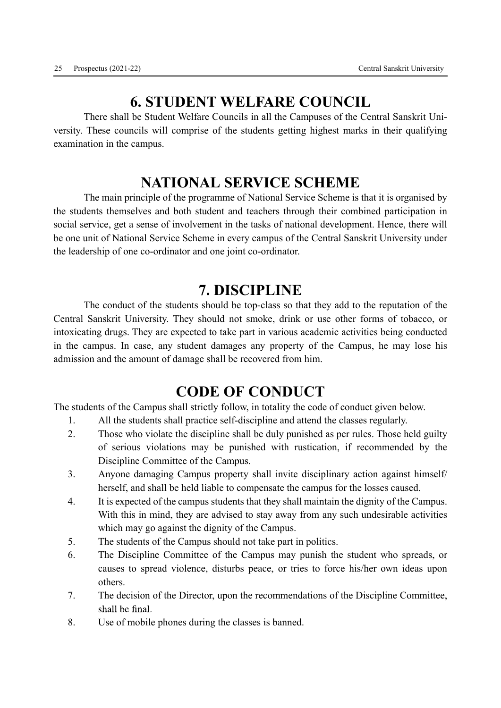# 6. STUDENT WELFARE COUNCIL

 There shall be Student Welfare Councils in all the Campuses of the Central Sanskrit University. These councils will comprise of the students getting highest marks in their qualifying examination in the campus.

# NATIONAL SERVICE SCHEME

 The main principle of the programme of National Service Scheme is that it is organised by the students themselves and both student and teachers through their combined participation in social service, get a sense of involvement in the tasks of national development. Hence, there will be one unit of National Service Scheme in every campus of the Central Sanskrit University under the leadership of one co-ordinator and one joint co-ordinator.

# 7. DISCIPLINE

 The conduct of the students should be top-class so that they add to the reputation of the Central Sanskrit University. They should not smoke, drink or use other forms of tobacco, or intoxicating drugs. They are expected to take part in various academic activities being conducted in the campus. In case, any student damages any property of the Campus, he may lose his admission and the amount of damage shall be recovered from him.

# CODE OF CONDUCT

The students of the Campus shall strictly follow, in totality the code of conduct given below.

- 1. All the students shall practice self-discipline and attend the classes regularly.
- 2. Those who violate the discipline shall be duly punished as per rules. Those held guilty of serious violations may be punished with rustication, if recommended by the Discipline Committee of the Campus.
- 3. Anyone damaging Campus property shall invite disciplinary action against himself/ herself, and shall be held liable to compensate the campus for the losses caused.
- 4. It is expected of the campus students that they shall maintain the dignity of the Campus. With this in mind, they are advised to stay away from any such undesirable activities which may go against the dignity of the Campus.
- 5. The students of the Campus should not take part in politics.
- 6. The Discipline Committee of the Campus may punish the student who spreads, or causes to spread violence, disturbs peace, or tries to force his/her own ideas upon others.
- 7. The decision of the Director, upon the recommendations of the Discipline Committee, shall be final.
- 8. Use of mobile phones during the classes is banned.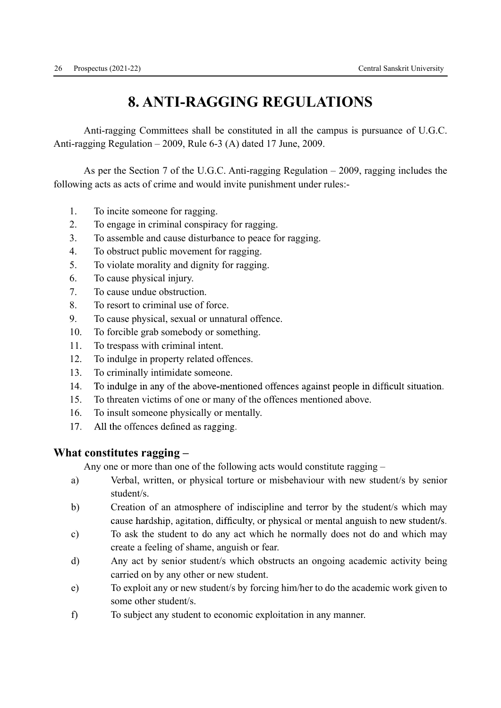# 8. ANTI-RAGGING REGULATIONS

 Anti-ragging Committees shall be constituted in all the campus is pursuance of U.G.C. Anti-ragging Regulation – 2009, Rule 6-3 (A) dated 17 June, 2009.

 As per the Section 7 of the U.G.C. Anti-ragging Regulation – 2009, ragging includes the following acts as acts of crime and would invite punishment under rules:-

- 1. To incite someone for ragging.
- 2. To engage in criminal conspiracy for ragging.
- 3. To assemble and cause disturbance to peace for ragging.
- 4. To obstruct public movement for ragging.
- 5. To violate morality and dignity for ragging.
- 6. To cause physical injury.
- 7. To cause undue obstruction.
- 8. To resort to criminal use of force.
- 9. To cause physical, sexual or unnatural offence.
- 10. To forcible grab somebody or something.
- 11. To trespass with criminal intent.
- 12. To indulge in property related offences.
- 13. To criminally intimidate someone.
- 14. To indulge in any of the above-mentioned offences against people in difficult situation.
- 15. To threaten victims of one or many of the offences mentioned above.
- 16. To insult someone physically or mentally.
- All the offences defined as ragging. 17.

### What constitutes ragging –

Any one or more than one of the following acts would constitute ragging –

- a) Verbal, written, or physical torture or misbehaviour with new student/s by senior student/s.
- b) Creation of an atmosphere of indiscipline and terror by the student/s which may cause hardship, agitation, difficulty, or physical or mental anguish to new student/s.
- c) To ask the student to do any act which he normally does not do and which may create a feeling of shame, anguish or fear.
- d) Any act by senior student/s which obstructs an ongoing academic activity being carried on by any other or new student.
- e) To exploit any or new student/s by forcing him/her to do the academic work given to some other student/s.
- f) To subject any student to economic exploitation in any manner.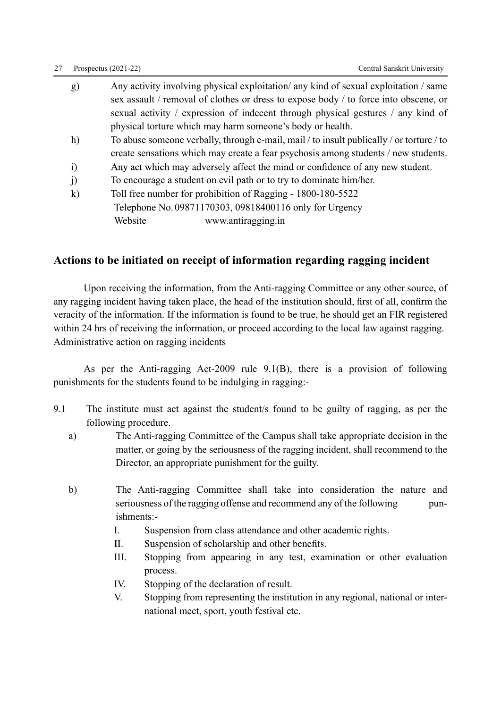#### 27 Prospectus (2021-22) Central Sanskrit University

| g)           | Any activity involving physical exploitation/ any kind of sexual exploitation / same     |
|--------------|------------------------------------------------------------------------------------------|
|              | sex assault / removal of clothes or dress to expose body / to force into obscene, or     |
|              | sexual activity / expression of indecent through physical gestures / any kind of         |
|              | physical torture which may harm someone's body or health.                                |
| h)           | To abuse someone verbally, through e-mail, mail / to insult publically / or torture / to |
|              | create sensations which may create a fear psychosis among students / new students.       |
| $\mathbf{i}$ | Any act which may adversely affect the mind or confidence of any new student.            |
| j)           | To encourage a student on evil path or to try to dominate him/her.                       |
| $\bf k)$     | Toll free number for prohibition of Ragging - 1800-180-5522                              |
|              | Telephone No. 09871170303, 09818400116 only for Urgency                                  |
|              |                                                                                          |

Website www.antiragging.in

### Actions to be initiated on receipt of information regarding ragging incident

 Upon receiving the information, from the Anti-ragging Committee or any other source, of any ragging incident having taken place, the head of the institution should, first of all, confirm the veracity of the information. If the information is found to be true, he should get an FIR registered within 24 hrs of receiving the information, or proceed according to the local law against ragging. Administrative action on ragging incidents

 As per the Anti-ragging Act-2009 rule 9.1(B), there is a provision of following punishments for the students found to be indulging in ragging:-

- 9.1 The institute must act against the student/s found to be guilty of ragging, as per the following procedure.
	- a) The Anti-ragging Committee of the Campus shall take appropriate decision in the matter, or going by the seriousness of the ragging incident, shall recommend to the Director, an appropriate punishment for the guilty.
	- b) The Anti-ragging Committee shall take into consideration the nature and seriousness of the ragging offense and recommend any of the following punishments:-
		- I. Suspension from class attendance and other academic rights.
		- II. Suspension of scholarship and other benefits.
		- III. Stopping from appearing in any test, examination or other evaluation process.
		- IV. Stopping of the declaration of result.
		- V. Stopping from representing the institution in any regional, national or international meet, sport, youth festival etc.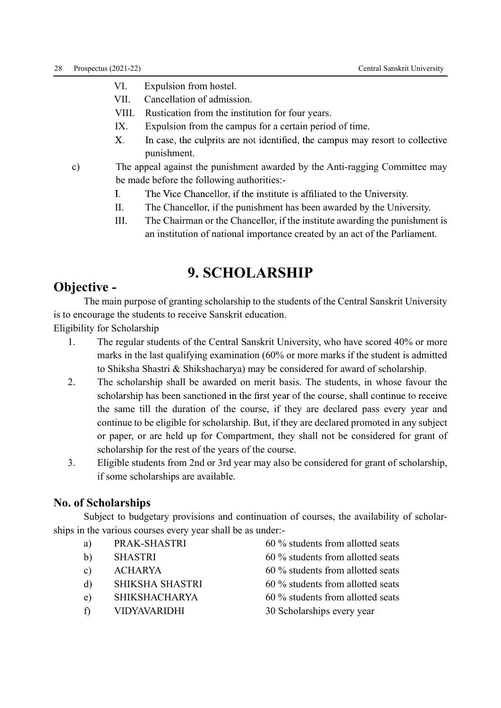- VI. Expulsion from hostel.
- VII. Cancellation of admission.
- VIII. Rustication from the institution for four years.
- IX. Expulsion from the campus for a certain period of time.
- $\mathbf{X}$ In case, the culprits are not identified, the campus may resort to collective punishment.
- c) The appeal against the punishment awarded by the Anti-ragging Committee may be made before the following authorities:-
	- $\mathbf{I}$ . The Vice Chancellor, if the institute is affiliated to the University.
	- II. The Chancellor, if the punishment has been awarded by the University.
	- III. The Chairman or the Chancellor, if the institute awarding the punishment is an institution of national importance created by an act of the Parliament.

# 9. SCHOLARSHIP

# Objective -

 The main purpose of granting scholarship to the students of the Central Sanskrit University is to encourage the students to receive Sanskrit education.

Eligibility for Scholarship

- 1. The regular students of the Central Sanskrit University, who have scored 40% or more marks in the last qualifying examination (60% or more marks if the student is admitted to Shiksha Shastri & Shikshacharya) may be considered for award of scholarship.
- 2. The scholarship shall be awarded on merit basis. The students, in whose favour the scholarship has been sanctioned in the first year of the course, shall continue to receive the same till the duration of the course, if they are declared pass every year and continue to be eligible for scholarship. But, if they are declared promoted in any subject or paper, or are held up for Compartment, they shall not be considered for grant of scholarship for the rest of the years of the course.
- 3. Eligible students from 2nd or 3rd year may also be considered for grant of scholarship, if some scholarships are available.

#### No. of Scholarships

 Subject to budgetary provisions and continuation of courses, the availability of scholarships in the various courses every year shall be as under:-

- 
- 
- 
- d) SHIKSHA SHASTRI 60 % students from allotted seats
- e) SHIKSHACHARYA 60 % students from allotted seats
- f) VIDYAVARIDHI 30 Scholarships every year
- a) PRAK-SHASTRI 60 % students from allotted seats
- b) SHASTRI 60 % students from allotted seats
- c) ACHARYA 60 % students from allotted seats
	-
	-
	-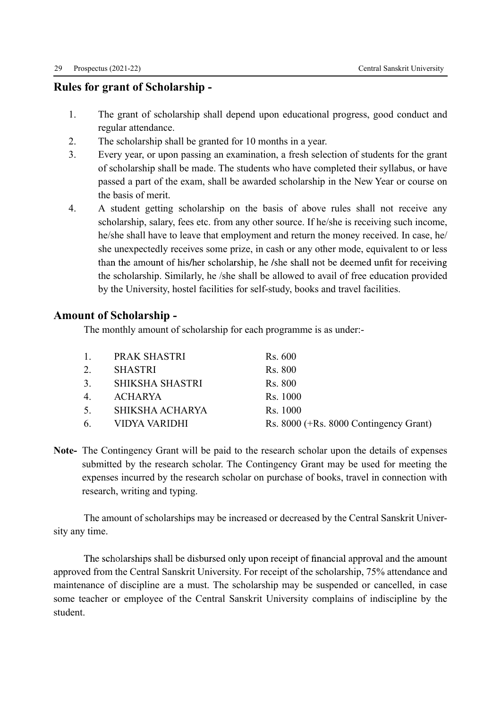#### Rules for grant of Scholarship -

- 1. The grant of scholarship shall depend upon educational progress, good conduct and regular attendance.
- 2. The scholarship shall be granted for 10 months in a year.
- 3. Every year, or upon passing an examination, a fresh selection of students for the grant of scholarship shall be made. The students who have completed their syllabus, or have passed a part of the exam, shall be awarded scholarship in the New Year or course on the basis of merit.
- 4. A student getting scholarship on the basis of above rules shall not receive any scholarship, salary, fees etc. from any other source. If he/she is receiving such income, he/she shall have to leave that employment and return the money received. In case, he/ she unexpectedly receives some prize, in cash or any other mode, equivalent to or less than the amount of his/her scholarship, he /she shall not be deemed unfit for receiving the scholarship. Similarly, he /she shall be allowed to avail of free education provided by the University, hostel facilities for self-study, books and travel facilities.

### Amount of Scholarship -

The monthly amount of scholarship for each programme is as under:-

|                | PRAK SHASTRI      | Rs. 600                                |
|----------------|-------------------|----------------------------------------|
|                | <b>SHASTRI</b>    | <b>Rs. 800</b>                         |
| 3 <sub>1</sub> | - SHIKSHA SHASTRI | Rs. 800                                |
| 4.             | ACHARYA           | Rs. 1000                               |
| 5.             | SHIKSHA ACHARYA   | Rs. 1000                               |
| 6.             | VIDYA VARIDHI     | Rs. 8000 (+Rs. 8000 Contingency Grant) |

Note- The Contingency Grant will be paid to the research scholar upon the details of expenses submitted by the research scholar. The Contingency Grant may be used for meeting the expenses incurred by the research scholar on purchase of books, travel in connection with research, writing and typing.

 The amount of scholarships may be increased or decreased by the Central Sanskrit University any time.

The scholarships shall be disbursed only upon receipt of financial approval and the amount approved from the Central Sanskrit University. For receipt of the scholarship, 75% attendance and maintenance of discipline are a must. The scholarship may be suspended or cancelled, in case some teacher or employee of the Central Sanskrit University complains of indiscipline by the student.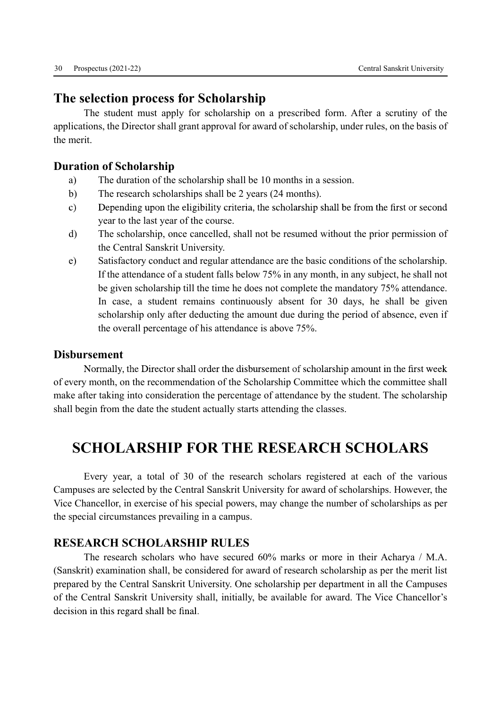# The selection process for Scholarship

 The student must apply for scholarship on a prescribed form. After a scrutiny of the applications, the Director shall grant approval for award of scholarship, under rules, on the basis of the merit.

### Duration of Scholarship

- a) The duration of the scholarship shall be 10 months in a session.
- b) The research scholarships shall be 2 years (24 months).
- Depending upon the eligibility criteria, the scholarship shall be from the first or second  $\mathbf{c}$ ) year to the last year of the course.
- d) The scholarship, once cancelled, shall not be resumed without the prior permission of the Central Sanskrit University.
- e) Satisfactory conduct and regular attendance are the basic conditions of the scholarship. If the attendance of a student falls below 75% in any month, in any subject, he shall not be given scholarship till the time he does not complete the mandatory 75% attendance. In case, a student remains continuously absent for 30 days, he shall be given scholarship only after deducting the amount due during the period of absence, even if the overall percentage of his attendance is above 75%.

#### Disbursement

Normally, the Director shall order the disbursement of scholarship amount in the first week of every month, on the recommendation of the Scholarship Committee which the committee shall make after taking into consideration the percentage of attendance by the student. The scholarship shall begin from the date the student actually starts attending the classes.

# SCHOLARSHIP FOR THE RESEARCH SCHOLARS

 Every year, a total of 30 of the research scholars registered at each of the various Campuses are selected by the Central Sanskrit University for award of scholarships. However, the Vice Chancellor, in exercise of his special powers, may change the number of scholarships as per the special circumstances prevailing in a campus.

### RESEARCH SCHOLARSHIP RULES

 The research scholars who have secured 60% marks or more in their Acharya / M.A. (Sanskrit) examination shall, be considered for award of research scholarship as per the merit list prepared by the Central Sanskrit University. One scholarship per department in all the Campuses of the Central Sanskrit University shall, initially, be available for award. The Vice Chancellor's decision in this regard shall be final.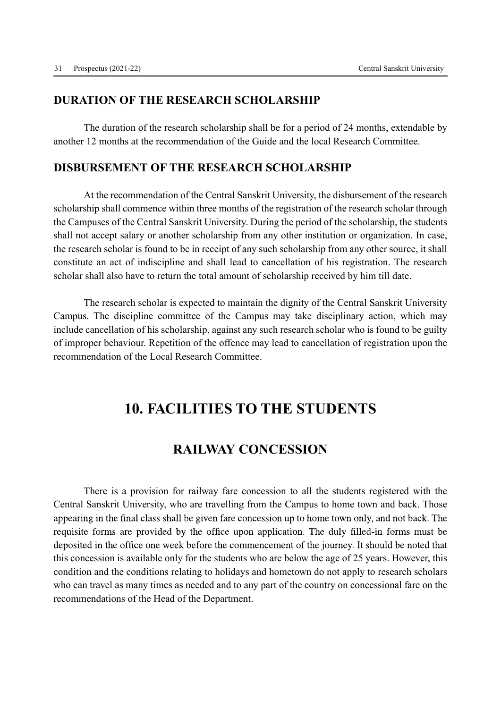### DURATION OF THE RESEARCH SCHOLARSHIP

 The duration of the research scholarship shall be for a period of 24 months, extendable by another 12 months at the recommendation of the Guide and the local Research Committee.

#### DISBURSEMENT OF THE RESEARCH SCHOLARSHIP

 At the recommendation of the Central Sanskrit University, the disbursement of the research scholarship shall commence within three months of the registration of the research scholar through the Campuses of the Central Sanskrit University. During the period of the scholarship, the students shall not accept salary or another scholarship from any other institution or organization. In case, the research scholar is found to be in receipt of any such scholarship from any other source, it shall constitute an act of indiscipline and shall lead to cancellation of his registration. The research scholar shall also have to return the total amount of scholarship received by him till date.

 The research scholar is expected to maintain the dignity of the Central Sanskrit University Campus. The discipline committee of the Campus may take disciplinary action, which may include cancellation of his scholarship, against any such research scholar who is found to be guilty of improper behaviour. Repetition of the offence may lead to cancellation of registration upon the recommendation of the Local Research Committee.

# 10. FACILITIES TO THE STUDENTS

## RAILWAY CONCESSION

 There is a provision for railway fare concession to all the students registered with the Central Sanskrit University, who are travelling from the Campus to home town and back. Those appearing in the final class shall be given fare concession up to home town only, and not back. The requisite forms are provided by the office upon application. The duly filled-in forms must be deposited in the office one week before the commencement of the journey. It should be noted that this concession is available only for the students who are below the age of 25 years. However, this condition and the conditions relating to holidays and hometown do not apply to research scholars who can travel as many times as needed and to any part of the country on concessional fare on the recommendations of the Head of the Department.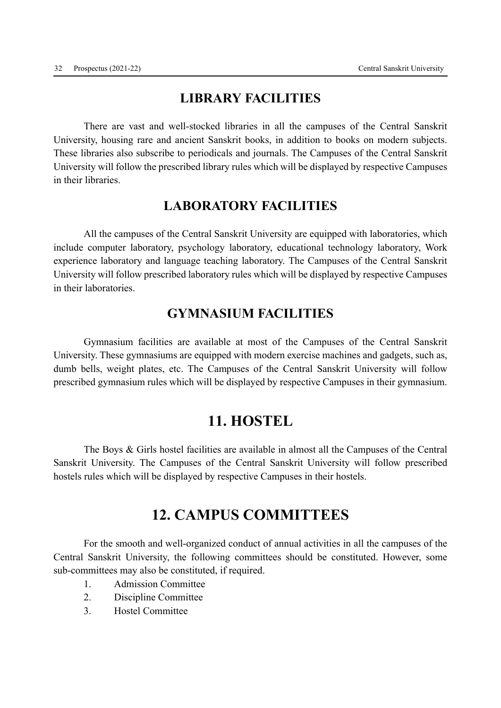## LIBRARY FACILITIES

 There are vast and well-stocked libraries in all the campuses of the Central Sanskrit University, housing rare and ancient Sanskrit books, in addition to books on modern subjects. These libraries also subscribe to periodicals and journals. The Campuses of the Central Sanskrit University will follow the prescribed library rules which will be displayed by respective Campuses in their libraries.

### LABORATORY FACILITIES

 All the campuses of the Central Sanskrit University are equipped with laboratories, which include computer laboratory, psychology laboratory, educational technology laboratory, Work experience laboratory and language teaching laboratory. The Campuses of the Central Sanskrit University will follow prescribed laboratory rules which will be displayed by respective Campuses in their laboratories.

### GYMNASIUM FACILITIES

 Gymnasium facilities are available at most of the Campuses of the Central Sanskrit University. These gymnasiums are equipped with modern exercise machines and gadgets, such as, dumb bells, weight plates, etc. The Campuses of the Central Sanskrit University will follow prescribed gymnasium rules which will be displayed by respective Campuses in their gymnasium.

# 11. HOSTEL

 The Boys & Girls hostel facilities are available in almost all the Campuses of the Central Sanskrit University. The Campuses of the Central Sanskrit University will follow prescribed hostels rules which will be displayed by respective Campuses in their hostels.

# 12. CAMPUS COMMITTEES

 For the smooth and well-organized conduct of annual activities in all the campuses of the Central Sanskrit University, the following committees should be constituted. However, some sub-committees may also be constituted, if required.

- 1. Admission Committee
- 2. Discipline Committee
- 3. Hostel Committee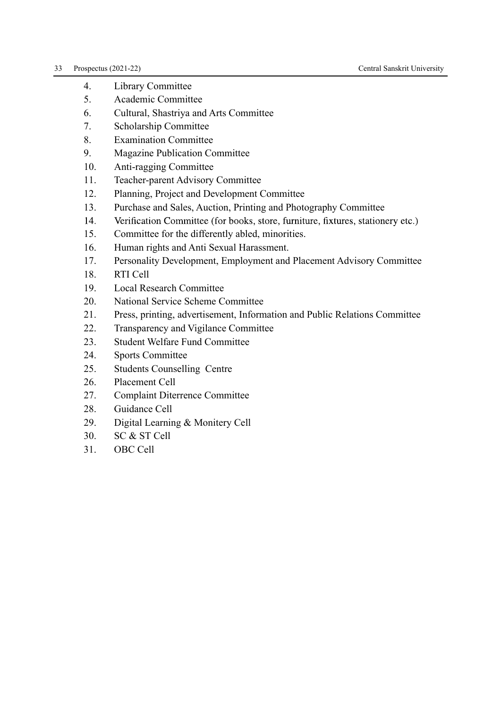- 4. Library Committee
- 5. Academic Committee
- 6. Cultural, Shastriya and Arts Committee
- 7. Scholarship Committee
- 8. Examination Committee
- 9. Magazine Publication Committee
- 10. Anti-ragging Committee
- 11. Teacher-parent Advisory Committee
- 12. Planning, Project and Development Committee
- 13. Purchase and Sales, Auction, Printing and Photography Committee
- Verification Committee (for books, store, furniture, fixtures, stationery etc.) 14.
- 15. Committee for the differently abled, minorities.
- 16. Human rights and Anti Sexual Harassment.
- 17. Personality Development, Employment and Placement Advisory Committee
- 18. RTI Cell
- 19. Local Research Committee
- 20. National Service Scheme Committee
- 21. Press, printing, advertisement, Information and Public Relations Committee
- 22. Transparency and Vigilance Committee
- 23. Student Welfare Fund Committee
- 24. Sports Committee
- 25. Students Counselling Centre
- 26. Placement Cell
- 27. Complaint Diterrence Committee
- 28. Guidance Cell
- 29. Digital Learning & Monitery Cell
- 30. SC & ST Cell
- 31. OBC Cell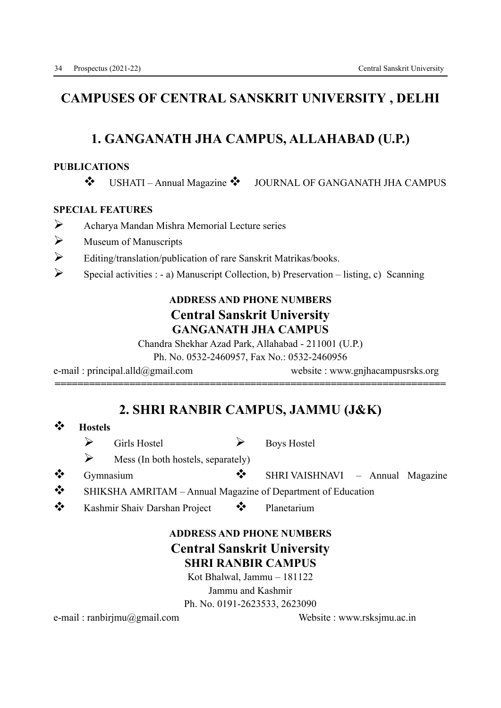# CAMPUSES OF CENTRAL SANSKRIT UNIVERSITY , DELHI

## 1. GANGANATH JHA CAMPUS, ALLAHABAD (U.P.)

#### PUBLICATIONS

v USHATI – Annual Magazine v JOURNAL OF GANGANATH JHA CAMPUS

#### SPECIAL FEATURES

- $\triangleright$  Acharya Mandan Mishra Memorial Lecture series
- $\triangleright$  Museum of Manuscripts
- $\triangleright$  Editing/translation/publication of rare Sanskrit Matrikas/books.
- $\triangleright$  Special activities : a) Manuscript Collection, b) Preservation listing, c) Scanning

### ADDRESS AND PHONE NUMBERS Central Sanskrit University GANGANATH JHA CAMPUS

Chandra Shekhar Azad Park, Allahabad - 211001 (U.P.)

Ph. No. 0532-2460957, Fax No.: 0532-2460956

e-mail : principal.alld@gmail.com website : www.gnjhacampusrsks.org

# 2. SHRI RANBIR CAMPUS, JAMMU (J&K)

====================================================================

### v Hostels

- $\triangleright$  Girls Hostel  $\triangleright$  Boys Hostel
- $\triangleright$  Mess (In both hostels, separately)
- Gymnasium v SHRI VAISHNAVI Annual Magazine
- SHIKSHA AMRITAM Annual Magazine of Department of Education
- \* Kashmir Shaiv Darshan Project \* Planetarium

### ADDRESS AND PHONE NUMBERS Central Sanskrit University SHRI RANBIR CAMPUS

Kot Bhalwal, Jammu – 181122 Jammu and Kashmir

Ph. No. 0191-2623533, 2623090

e-mail : ranbirjmu@gmail.com Website : www.rsksjmu.ac.in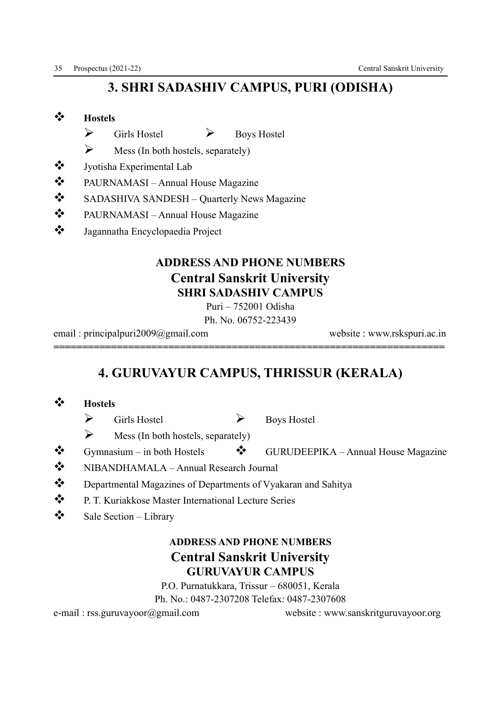# 3. SHRI SADASHIV CAMPUS, PURI (ODISHA)

### **☆** Hostels

- $\triangleright$  Girls Hostel  $\triangleright$  Boys Hostel
- $\triangleright$  Mess (In both hostels, separately)
- State Jyotisha Experimental Lab
- $\triangle$  PAURNAMASI Annual House Magazine
- v SADASHIVA SANDESH Quarterly News Magazine
- $\mathbf{\hat{\cdot}}$  PAURNAMASI Annual House Magazine
- \* Jagannatha Encyclopaedia Project

### ADDRESS AND PHONE NUMBERS Central Sanskrit University SHRI SADASHIV CAMPUS

Puri – 752001 Odisha

Ph. No. 06752-223439

====================================================================

email : principalpuri2009@gmail.com website : www.rskspuri.ac.in

# 4. GURUVAYUR CAMPUS, THRISSUR (KERALA)

- **◆ Hostels** 
	- $\triangleright$  Girls Hostel  $\triangleright$  Boys Hostel
	- $\triangleright$  Mess (In both hostels, separately)
- $\clubsuit$  Gymnasium in both Hostels  $\clubsuit$  GURUDEEPIKA Annual House Magazine
- \* NIBANDHAMALA Annual Research Journal
- \*\* Departmental Magazines of Departments of Vyakaran and Sahitya
- \* P. T. Kuriakkose Master International Lecture Series
- $\mathbf{\hat{\mathcal{P}}}$  Sale Section Library

### ADDRESS AND PHONE NUMBERS Central Sanskrit University GURUVAYUR CAMPUS

P.O. Purnatukkara, Trissur – 680051, Kerala

Ph. No.: 0487-2307208 Telefax: 0487-2307608

e-mail : rss.guruvayoor@gmail.com website : www.sanskritguruvayoor.org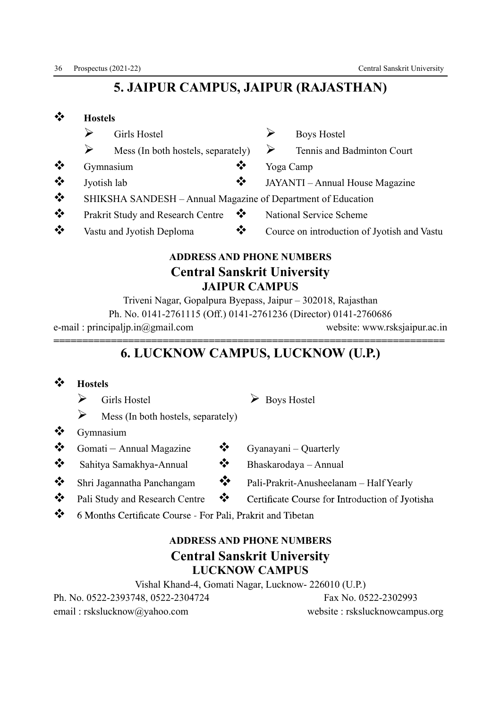# 5. JAIPUR CAMPUS, JAIPUR (RAJASTHAN)

| ❖             | <b>Hostels</b> |                                                              |                |                                 |                                             |  |
|---------------|----------------|--------------------------------------------------------------|----------------|---------------------------------|---------------------------------------------|--|
|               | ➤              | Girls Hostel                                                 |                |                                 | <b>Boys Hostel</b>                          |  |
|               | ➤              | Mess (In both hostels, separately)                           |                | ➤                               | Tennis and Badminton Court                  |  |
| $\frac{1}{2}$ |                | Gymnasium                                                    | ❖              |                                 | Yoga Camp                                   |  |
| $\frac{1}{2}$ | Jyotish lab    |                                                              | ❖              | JAYANTI – Annual House Magazine |                                             |  |
| $\bullet$     |                | SHIKSHA SANDESH - Annual Magazine of Department of Education |                |                                 |                                             |  |
| $\frac{1}{2}$ |                | Prakrit Study and Research Centre                            | $\ddot{\cdot}$ |                                 | <b>National Service Scheme</b>              |  |
| $\frac{1}{2}$ |                | Vastu and Jyotish Deploma                                    | ❖              |                                 | Cource on introduction of Jyotish and Vastu |  |
|               |                |                                                              |                |                                 |                                             |  |

## ADDRESS AND PHONE NUMBERS Central Sanskrit University JAIPUR CAMPUS

Triveni Nagar, Gopalpura Byepass, Jaipur – 302018, Rajasthan Ph. No. 0141-2761115 (Off.) 0141-2761236 (Director) 0141-2760686 e-mail : principaljp.in@gmail.com website: www.rsksjaipur.ac.in

### ==================================================================== 6. LUCKNOW CAMPUS, LUCKNOW (U.P.)

### v Hostels

- $\triangleright$  Girls Hostel  $\triangleright$  Boys Hostel
- $\triangleright$  Mess (In both hostels, separately)
- $\mathbf{\hat{z}}$  Gymnasium
- $\bullet$  Gomati Annual Magazine  $\bullet$  Gyanayani Quarterly
- $\clubsuit$  Sahitya Samakhya-Annual  $\clubsuit$  Bhaskarodaya Annual
- 
- ❖ Pali Study and Research Centre ❖
- 
- 
- $\bullet$  Shri Jagannatha Panchangam  $\bullet$  Pali-Prakrit-Anusheelanam Half Yearly
	- Certificate Course for Introduction of Jyotisha
- $\mathbf{v}^*$ 6 Months Certificate Course - For Pali, Prakrit and Tibetan

# ADDRESS AND PHONE NUMBERS Central Sanskrit University LUCKNOW CAMPUS

Vishal Khand-4, Gomati Nagar, Lucknow- 226010 (U.P.) Ph. No. 0522-2393748, 0522-2304724 Fax No. 0522-2302993 email : rskslucknow@yahoo.com website : rskslucknowcampus.org

- 
- 
-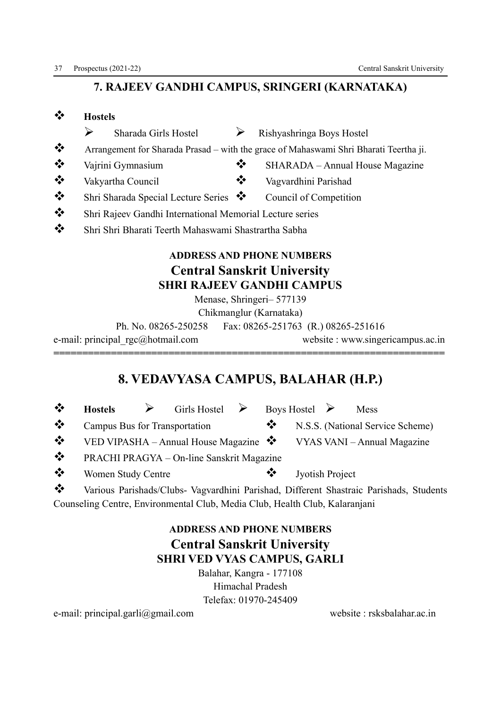### 7. RAJEEV GANDHI CAMPUS, SRINGERI (KARNATAKA)

| $\frac{1}{2}$                         | <b>Hostels</b>                                           |                                                                                       |
|---------------------------------------|----------------------------------------------------------|---------------------------------------------------------------------------------------|
|                                       | ➢<br>Sharada Girls Hostel                                | Rishyashringa Boys Hostel                                                             |
| $\ddot{\bullet}$                      |                                                          | Arrangement for Sharada Prasad – with the grace of Mahaswami Shri Bharati Teertha ji. |
| $\bullet$                             | Vajrini Gymnasium                                        | SHARADA – Annual House Magazine                                                       |
| $\bullet^{\bullet}_{\bullet} \bullet$ | Vakyartha Council                                        | Vagvardhini Parishad                                                                  |
| $\bullet^{\bullet}_{\bullet} \bullet$ | Shri Sharada Special Lecture Series $\bullet$            | Council of Competition                                                                |
| $\bullet^{\bullet}_{\bullet} \bullet$ | Shri Rajeev Gandhi International Memorial Lecture series |                                                                                       |
| $\frac{1}{2}$                         | Shri Shri Bharati Teerth Mahaswami Shastrartha Sabha     |                                                                                       |
|                                       |                                                          | <b>ADDRESS AND PHONE NUMBERS</b>                                                      |
|                                       |                                                          |                                                                                       |
|                                       |                                                          | <b>Central Sanskrit University</b><br><b>SHRI RAJEEV GANDHI CAMPUS</b>                |
|                                       |                                                          | Menase, Shringeri- 577139                                                             |
|                                       |                                                          |                                                                                       |
|                                       |                                                          | Chikmanglur (Karnataka)                                                               |
|                                       | Ph. No. 08265-250258                                     | Fax: 08265-251763 (R.) 08265-251616                                                   |
|                                       | e-mail: principal rgc@hotmail.com                        | website: www.singericampus.ac.in                                                      |
|                                       |                                                          |                                                                                       |

# 8. VEDAVYASA CAMPUS, BALAHAR (H.P.)

| ❖                | <b>Hostels</b>                | $\triangleright$ Girls Hostel $\triangleright$ Boys Hostel $\triangleright$ |              |                 | Mess                                                                              |
|------------------|-------------------------------|-----------------------------------------------------------------------------|--------------|-----------------|-----------------------------------------------------------------------------------|
| $\ddot{\bullet}$ | Campus Bus for Transportation |                                                                             | $\mathbf{v}$ |                 | N.S.S. (National Service Scheme)                                                  |
| $\frac{1}{2}$    |                               |                                                                             |              |                 | VED VIPASHA – Annual House Magazine $\bullet \bullet$ VYAS VANI – Annual Magazine |
| $\cdot$          |                               | PRACHI PRAGYA - On-line Sanskrit Magazine                                   |              |                 |                                                                                   |
| ❖                | <b>Women Study Centre</b>     |                                                                             | ❖            | Jyotish Project |                                                                                   |

v Various Parishads/Clubs- Vagvardhini Parishad, Different Shastraic Parishads, Students Counseling Centre, Environmental Club, Media Club, Health Club, Kalaranjani

### ADDRESS AND PHONE NUMBERS Central Sanskrit University SHRI VED VYAS CAMPUS, GARLI

Balahar, Kangra - 177108 Himachal Pradesh Telefax: 01970-245409

e-mail: principal.garli@gmail.com website : rsksbalahar.ac.in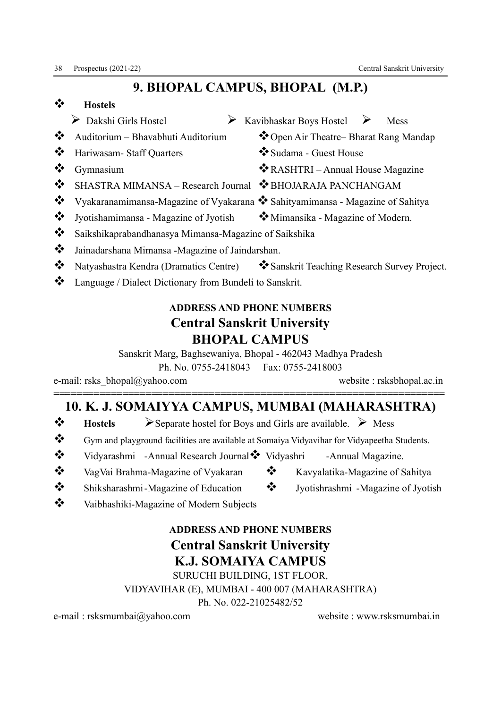# 9. BHOPAL CAMPUS, BHOPAL (M.P.)

- v Hostels
	- Ø Dakshi Girls Hostel Ø Kavibhaskar Boys Hostel Ø Mess
- Auditorium Bhavabhuti Auditorium  $\bullet$  Open Air Theatre– Bharat Rang Mandap
- ◆ Hariwasam- Staff Ouarters → Sudama Guest House
- 
- v Gymnasium v RASHTRI Annual House Magazine
- ◆ SHASTRA MIMANSA Research Journal ◆ BHOJARAJA PANCHANGAM
- $\bullet\bullet\quad$  Vyakaranamimansa-Magazine of Vyakarana  $\bullet\bullet\bullet\$  Sahityamimansa Magazine of Sahitya
- $\bullet \bullet$  Jyotishamimansa Magazine of Jyotish  $\bullet \bullet$  Mimansika Magazine of Modern.
- v Saikshikaprabandhanasya Mimansa-Magazine of Saikshika
- 
- 
- \* Language / Dialect Dictionary from Bundeli to Sanskrit.

# ADDRESS AND PHONE NUMBERS Central Sanskrit University BHOPAL CAMPUS

Sanskrit Marg, Baghsewaniya, Bhopal - 462043 Madhya Pradesh

Ph. No. 0755-2418043 Fax: 0755-2418003

e-mail: rsks bhopal@yahoo.com website : rsksbhopal.ac.in

### ==================================================================== 10. K. J. SOMAIYYA CAMPUS, MUMBAI (MAHARASHTRA)

- $\bullet$  Hostels > Separate hostel for Boys and Girls are available. > Mess
- Gym and playground facilities are available at Somaiya Vidyavihar for Vidyapeetha Students.
- Vidyarashmi -Annual Research Journal V Vidyashri -Annual Magazine.
- \* VagVai Brahma-Magazine of Vyakaran \* Kavyalatika-Magazine of Sahitya
- Shiksharashmi -Magazine of Education • Jyotishrashmi -Magazine of Jyotish
- Vaibhashiki-Magazine of Modern Subjects

# ADDRESS AND PHONE NUMBERS Central Sanskrit University K.J. SOMAIYA CAMPUS

SURUCHI BUILDING, 1ST FLOOR,

VIDYAVIHAR (E), MUMBAI - 400 007 (MAHARASHTRA)

Ph. No. 022-21025482/52

e-mail : rsksmumbai@yahoo.com website : www.rsksmumbai.in

- 
- 
- 
- 
- 
- \* Jainadarshana Mimansa -Magazine of Jaindarshan.
- \* Natyashastra Kendra (Dramatics Centre) \* Sanskrit Teaching Research Survey Project.